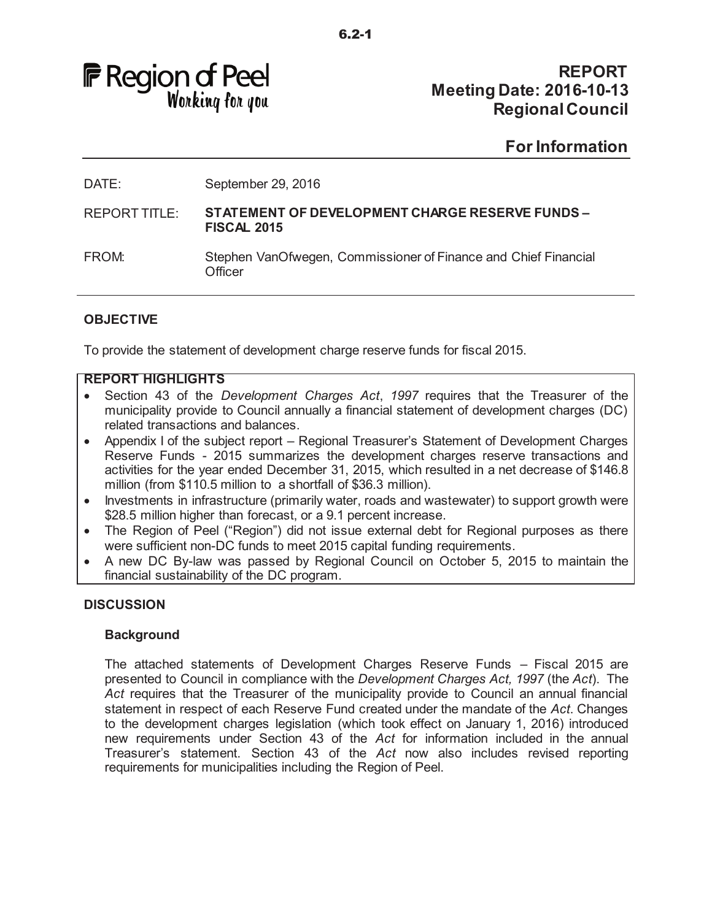

# **REPORT Meeting Date: 2016-10-13 Regional Council**

# **For Information**

DATE: September 29, 2016

REPORT TITLE: **STATEMENT OF DEVELOPMENT CHARGE RESERVE FUNDS – FISCAL 2015**

### **OBJECTIVE**

To provide the statement of development charge reserve funds for fiscal 2015.

#### **REPORT HIGHLIGHTS**

- Section 43 of the *Development Charges Act*, 1997 requires that the Treasurer of the municipality provide to Council annually a financial statement of development charges (DC) related transactions and balances.
- · Appendix I of the subject report Regional Treasurer's Statement of Development Charges Reserve Funds - 2015 summarizes the development charges reserve transactions and activities for the year ended December 31, 2015, which resulted in a net decrease of \$146.8 million (from \$110.5 million to a shortfall of \$36.3 million).
- · Investments in infrastructure (primarily water, roads and wastewater) to support growth were \$28.5 million higher than forecast, or a 9.1 percent increase.
- · The Region of Peel ("Region") did not issue external debt for Regional purposes as there were sufficient non-DC funds to meet 2015 capital funding requirements.
- · A new DC By-law was passed by Regional Council on October 5, 2015 to maintain the financial sustainability of the DC program.

#### **DISCUSSION**

#### **Background**

The attached statements of Development Charges Reserve Funds – Fiscal 2015 are presented to Council in compliance with the *Development Charges Act, 1997* (the *Act*). The *Act* requires that the Treasurer of the municipality provide to Council an annual financial statement in respect of each Reserve Fund created under the mandate of the *Act*. Changes to the development charges legislation (which took effect on January 1, 2016) introduced new requirements under Section 43 of the *Act* for information included in the annual Treasurer's statement. Section 43 of the *Act* now also includes revised reporting requirements for municipalities including the Region of Peel.

FROM: Stephen VanOfwegen, Commissioner of Finance and Chief Financial **Officer**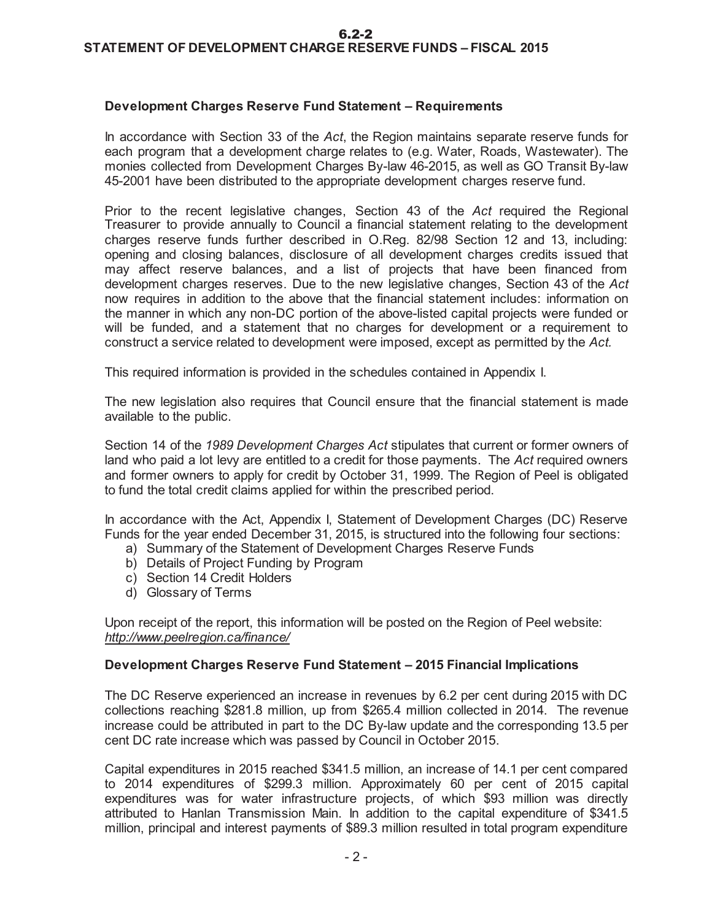#### **Development Charges Reserve Fund Statement – Requirements**

In accordance with Section 33 of the *Act*, the Region maintains separate reserve funds for each program that a development charge relates to (e.g. Water, Roads, Wastewater). The monies collected from Development Charges By-law 46-2015, as well as GO Transit By-law 45-2001 have been distributed to the appropriate development charges reserve fund.

Prior to the recent legislative changes, Section 43 of the *Act* required the Regional Treasurer to provide annually to Council a financial statement relating to the development charges reserve funds further described in O.Reg. 82/98 Section 12 and 13, including: opening and closing balances, disclosure of all development charges credits issued that may affect reserve balances, and a list of projects that have been financed from development charges reserves. Due to the new legislative changes, Section 43 of the *Act*  now requires in addition to the above that the financial statement includes: information on the manner in which any non-DC portion of the above-listed capital projects were funded or will be funded, and a statement that no charges for development or a requirement to construct a service related to development were imposed, except as permitted by the *Act.* 

This required information is provided in the schedules contained in Appendix I.

The new legislation also requires that Council ensure that the financial statement is made available to the public.

Section 14 of the *1989 Development Charges Act* stipulates that current or former owners of land who paid a lot levy are entitled to a credit for those payments. The *Act* required owners and former owners to apply for credit by October 31, 1999. The Region of Peel is obligated to fund the total credit claims applied for within the prescribed period.

In accordance with the Act, Appendix I, Statement of Development Charges (DC) Reserve Funds for the year ended December 31, 2015, is structured into the following four sections:

- a) Summary of the Statement of Development Charges Reserve Funds
- b) Details of Project Funding by Program
- c) Section 14 Credit Holders
- d) Glossary of Terms

Upon receipt of the report, this information will be posted on the Region of Peel website: *http://www.peelregion.ca/finance/* 

#### **Development Charges Reserve Fund Statement – 2015 Financial Implications**

The DC Reserve experienced an increase in revenues by 6.2 per cent during 2015 with DC collections reaching \$281.8 million, up from \$265.4 million collected in 2014. The revenue increase could be attributed in part to the DC By-law update and the corresponding 13.5 per cent DC rate increase which was passed by Council in October 2015.

Capital expenditures in 2015 reached \$341.5 million, an increase of 14.1 per cent compared to 2014 expenditures of \$299.3 million. Approximately 60 per cent of 2015 capital expenditures was for water infrastructure projects, of which \$93 million was directly attributed to Hanlan Transmission Main. In addition to the capital expenditure of \$341.5 million, principal and interest payments of \$89.3 million resulted in total program expenditure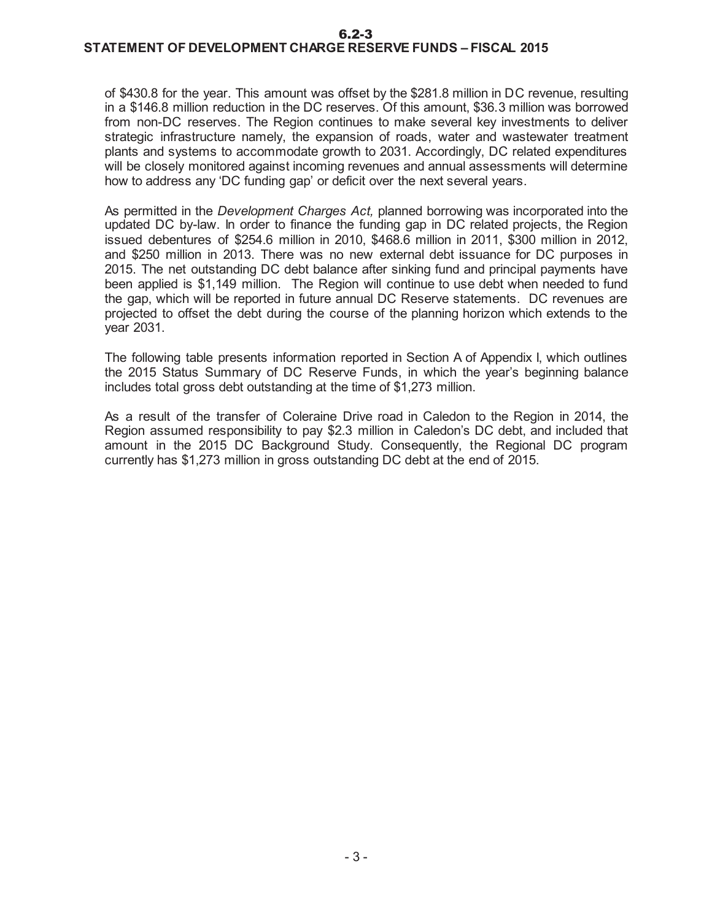6.2-3

# **STATEMENT OF DEVELOPMENT CHARGE RESERVE FUNDS – FISCAL 2015**

of \$430.8 for the year. This amount was offset by the \$281.8 million in DC revenue, resulting in a \$146.8 million reduction in the DC reserves. Of this amount, \$36.3 million was borrowed from non-DC reserves. The Region continues to make several key investments to deliver strategic infrastructure namely, the expansion of roads, water and wastewater treatment plants and systems to accommodate growth to 2031. Accordingly, DC related expenditures will be closely monitored against incoming revenues and annual assessments will determine how to address any 'DC funding gap' or deficit over the next several years.

As permitted in the *Development Charges Act,* planned borrowing was incorporated into the updated DC by-law. In order to finance the funding gap in DC related projects, the Region issued debentures of \$254.6 million in 2010, \$468.6 million in 2011, \$300 million in 2012, and \$250 million in 2013. There was no new external debt issuance for DC purposes in 2015. The net outstanding DC debt balance after sinking fund and principal payments have been applied is \$1,149 million. The Region will continue to use debt when needed to fund the gap, which will be reported in future annual DC Reserve statements. DC revenues are projected to offset the debt during the course of the planning horizon which extends to the year 2031.

The following table presents information reported in Section A of Appendix I, which outlines the 2015 Status Summary of DC Reserve Funds, in which the year's beginning balance includes total gross debt outstanding at the time of \$1,273 million.

As a result of the transfer of Coleraine Drive road in Caledon to the Region in 2014, the Region assumed responsibility to pay \$2.3 million in Caledon's DC debt, and included that amount in the 2015 DC Background Study. Consequently, the Regional DC program currently has \$1,273 million in gross outstanding DC debt at the end of 2015.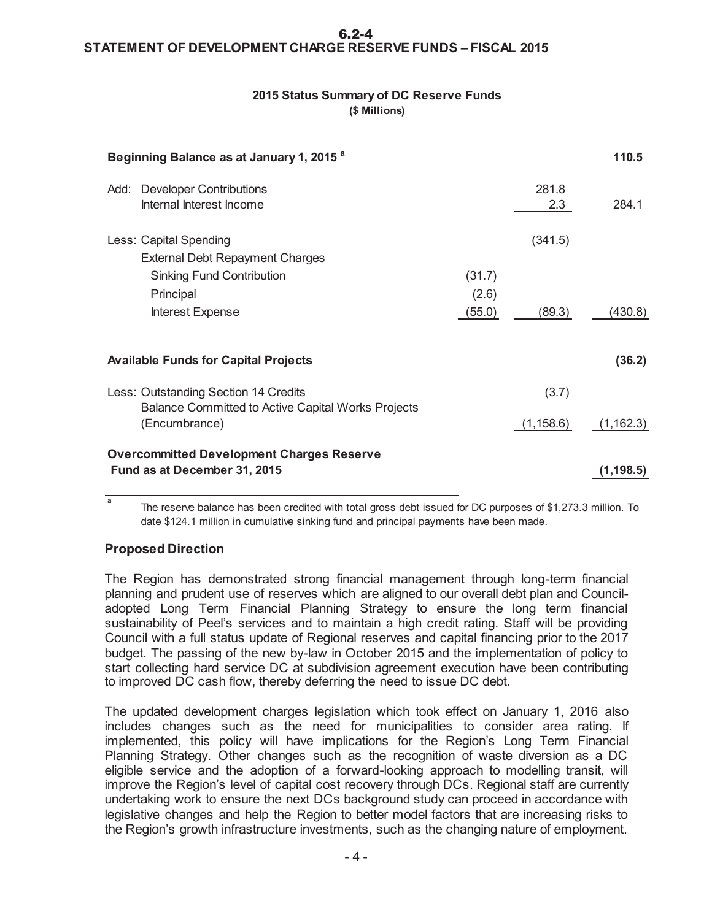#### **STATEMENT OF DEVELOPMENT CHARGE RESERVE FUNDS – FISCAL 2015**  6.2-4

#### **2015 Status Summary of DC Reserve Funds (\$ Millions)**

| Beginning Balance as at January 1, 2015 <sup>a</sup>                                                                                  |                           |                   | 110.5      |
|---------------------------------------------------------------------------------------------------------------------------------------|---------------------------|-------------------|------------|
| Add: Developer Contributions<br>Internal Interest Income                                                                              |                           | 281.8<br>2.3      | 284.1      |
| Less: Capital Spending<br><b>External Debt Repayment Charges</b><br><b>Sinking Fund Contribution</b><br>Principal<br>Interest Expense | (31.7)<br>(2.6)<br>(55.0) | (341.5)<br>(89.3) | (430.8)    |
| <b>Available Funds for Capital Projects</b>                                                                                           |                           |                   | (36.2)     |
| Less: Outstanding Section 14 Credits<br>Balance Committed to Active Capital Works Projects                                            |                           | (3.7)             |            |
| (Encumbrance)                                                                                                                         |                           | (1, 158.6)        | (1, 162.3) |
| <b>Overcommitted Development Charges Reserve</b><br>Fund as at December 31, 2015                                                      |                           |                   | (1, 198.5) |

a The reserve balance has been credited with total gross debt issued for DC purposes of \$1,273.3 million. To date \$124.1 million in cumulative sinking fund and principal payments have been made.

## **Proposed Direction**

The Region has demonstrated strong financial management through long-term financial planning and prudent use of reserves which are aligned to our overall debt plan and Counciladopted Long Term Financial Planning Strategy to ensure the long term financial sustainability of Peel's services and to maintain a high credit rating. Staff will be providing Council with a full status update of Regional reserves and capital financing prior to the 2017 budget. The passing of the new by-law in October 2015 and the implementation of policy to start collecting hard service DC at subdivision agreement execution have been contributing to improved DC cash flow, thereby deferring the need to issue DC debt.

The updated development charges legislation which took effect on January 1, 2016 also includes changes such as the need for municipalities to consider area rating. If implemented, this policy will have implications for the Region's Long Term Financial Planning Strategy. Other changes such as the recognition of waste diversion as a DC eligible service and the adoption of a forward-looking approach to modelling transit, will improve the Region's level of capital cost recovery through DCs. Regional staff are currently undertaking work to ensure the next DCs background study can proceed in accordance with legislative changes and help the Region to better model factors that are increasing risks to the Region's growth infrastructure investments, such as the changing nature of employment.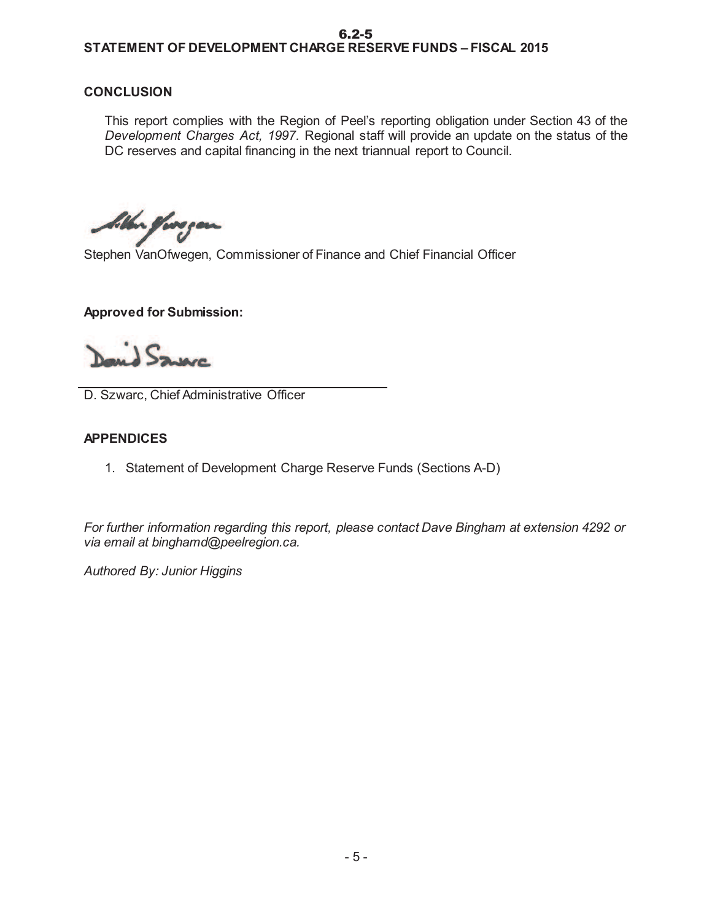#### **STATEMENT OF DEVELOPMENT CHARGE RESERVE FUNDS – FISCAL 2015**  6.2-5

#### **CONCLUSION**

This report complies with the Region of Peel's reporting obligation under Section 43 of the *Development Charges Act, 1997.* Regional staff will provide an update on the status of the DC reserves and capital financing in the next triannual report to Council.

*bib*on *fore* year

Stephen VanOfwegen, Commissioner of Finance and Chief Financial Officer

#### **Approved for Submission:**

Sauce

D. Szwarc, Chief Administrative Officer

#### **APPENDICES**

1. Statement of Development Charge Reserve Funds (Sections A-D)

*For further information regarding this report, please contact Dave Bingham at extension 4292 or via email at binghamd@peelregion.ca.* 

*Authored By: Junior Higgins*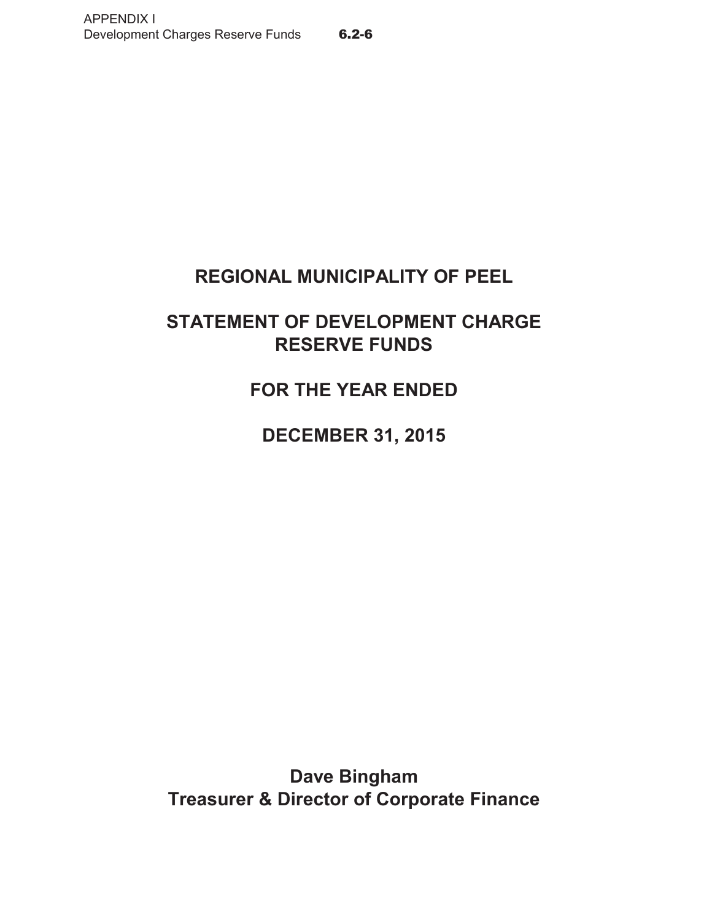# **REGIONAL MUNICIPALITY OF PEEL**

# **STATEMENT OF DEVELOPMENT CHARGE RESERVE FUNDS**

**FOR THE YEAR ENDED**

**DECEMBER 31, 2015**

**Treasurer & Director of Corporate Finance Dave Bingham**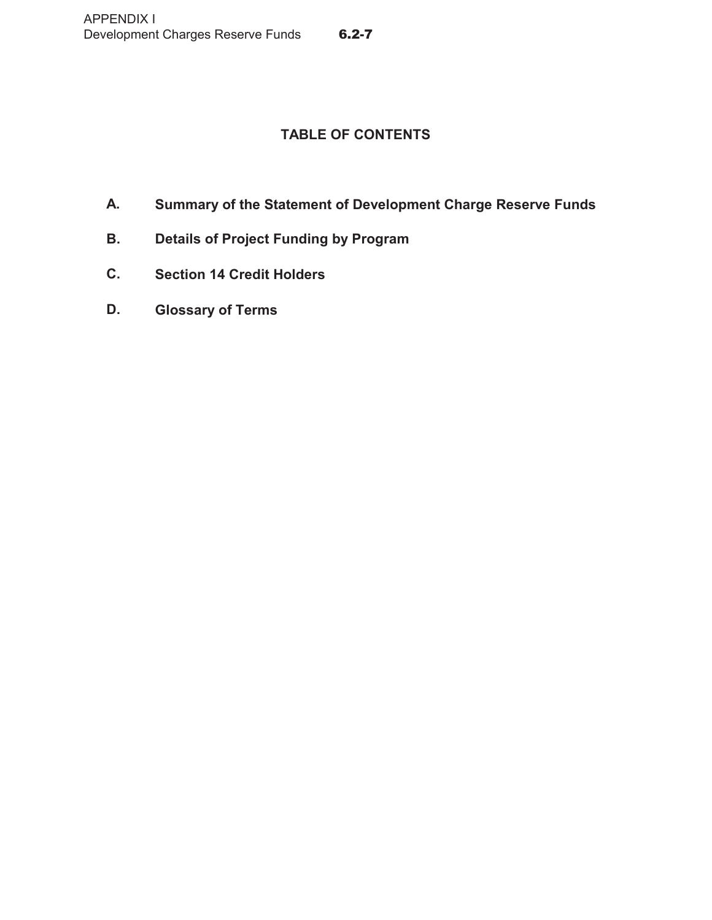# **TABLE OF CONTENTS**

- **A. Summary of the Statement of Development Charge Reserve Funds**
- **B. Details of Project Funding by Program**
- **C. Section 14 Credit Holders**
- **D. Glossary of Terms**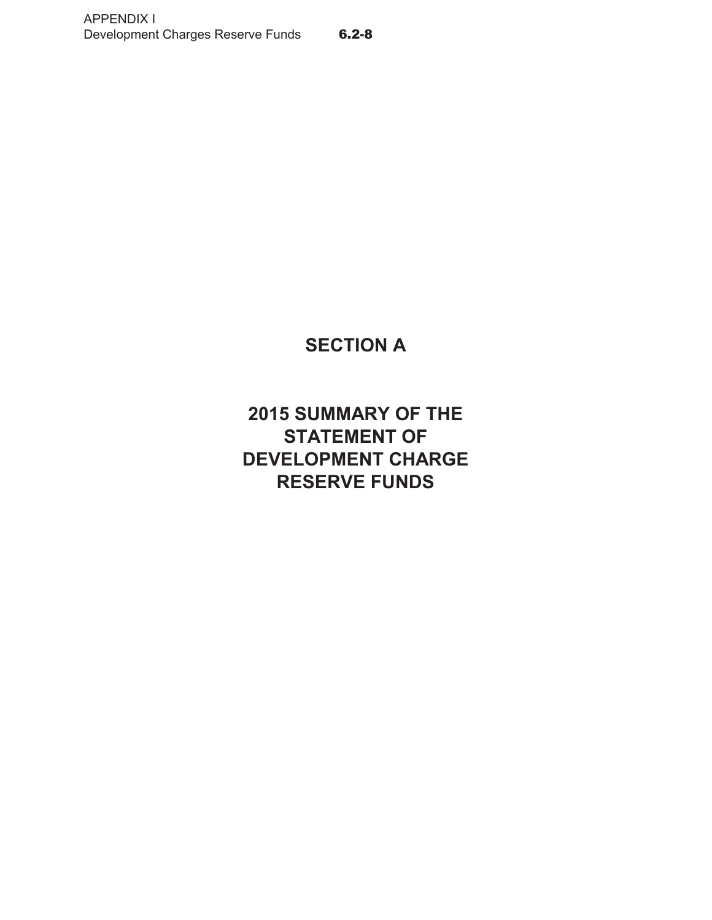# **SECTION A**

**2015 SUMMARY OF THE STATEMENT OF DEVELOPMENT CHARGE RESERVE FUNDS**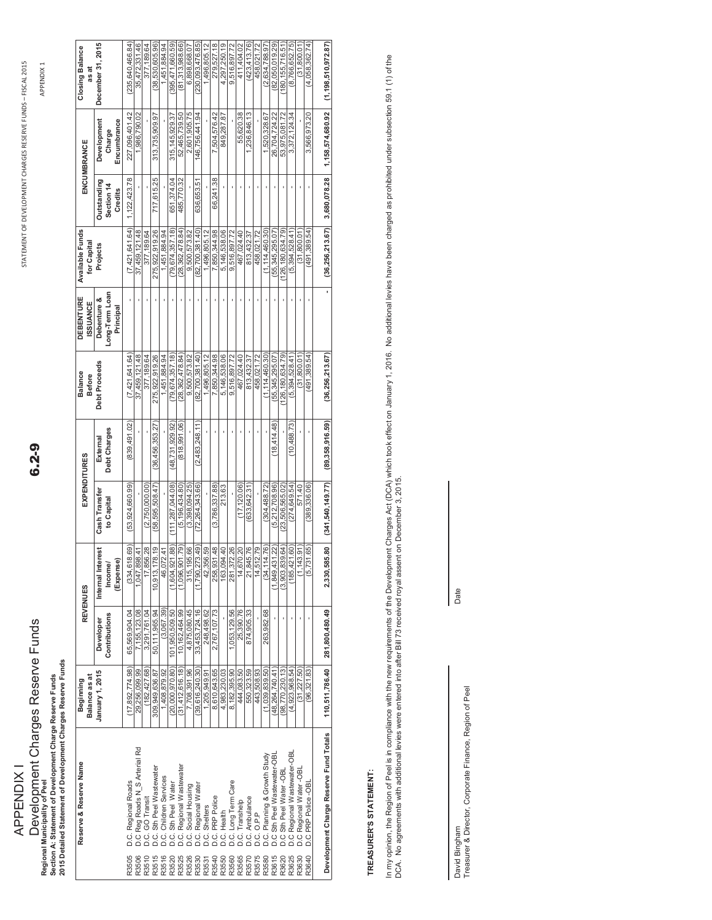# Development Charges Reserve Funds Development Charges Reserve Funds<br>Regional Municipality of Peel<br>Section A: Statement of Development Charge Reserve Funds<br>2015 Detailed Statement of Development Charges Reserve Funds APPENDIX I **APPENDIX1 Regional Municipality of Peel**

**Section A: Statement of Development Charge Reserve Funds 2015 Detailed Statement of Development Charges Reserve Funds**

 $6 - 2 - 9$ 

APPEND APPENDIX 1

| Reserve & Reserve Name                                                                                                                                                                                                                                  | Balance as at<br>Beginning |                            | <b>REVENUES</b>                              | EXPENDITURES                |                         | <b>Balance</b><br>Before | <b>DEBENTURE</b><br><b>ISSUANCE</b>        | Available Funds<br>for Capita |                                      | ENCUMBRANCE                          | <b>Closing Balance</b><br>as at |
|---------------------------------------------------------------------------------------------------------------------------------------------------------------------------------------------------------------------------------------------------------|----------------------------|----------------------------|----------------------------------------------|-----------------------------|-------------------------|--------------------------|--------------------------------------------|-------------------------------|--------------------------------------|--------------------------------------|---------------------------------|
|                                                                                                                                                                                                                                                         | January 1, 2015            | Contributions<br>Developer | rest<br>Internal Inte<br>Income/<br>(Expense | Cash Transfer<br>to Capital | Debt Charges<br>Externa | <b>Debt Proceeds</b>     | Long-Term Loar<br>Debenture &<br>Principal | Projects                      | Outstanding<br>Section 14<br>Credits | Encumbrance<br>Development<br>Charge | December 31, 2015               |
| R3505                                                                                                                                                                                                                                                   | (17, 892, 774.98)          | 65.569.904.04              | (334, 618.69)                                | (53,924,660.99)             | (839, 491.02            | (7.421.641.64)           |                                            | (7.421.641.64)                | 1, 122, 423.78                       | 227.096.401.42                       | 235.640.466.84)                 |
| R3506                                                                                                                                                                                                                                                   | 29,256,099.99              | 7,155,123.08               | 1,047,898.41                                 |                             |                         | 37.459.121.48            |                                            | 37.459.121.48                 |                                      | 1,986,790.02                         | 35,472,331.46                   |
| R3510                                                                                                                                                                                                                                                   | (182, 427.68)              | 3,291,761.04               | 17,856.28                                    | (2.750.000.00               |                         | 377.189.64               |                                            | 377.189.64                    |                                      |                                      | 377,189.64                      |
| R3515                                                                                                                                                                                                                                                   | 309.949.636.87             | 50.111.965.94              | 10,913,178.19                                | (58,595,508.47              | (36,456,353,27          | 275.922.919.26           |                                            | 275.922.919.26                | 717.615.25                           | 313,735,909.97                       | (38.530.605.96)                 |
| 33516                                                                                                                                                                                                                                                   | 1,408,879.92               | (3,067.39)                 | 46,072.41                                    |                             |                         | 451,884.94               |                                            | 1,451,884.94                  |                                      |                                      | 1,451,884.94                    |
| R3520                                                                                                                                                                                                                                                   | (20,000,970.80)            | 101.950.509.50             | (1,604,921.88)                               | (11128704408)               | (48.731.929.92)         | (79.674.357.18)          |                                            | (79.674.357.18)               | 651.374.04                           | 315 145 929 37                       | 395.471.660.59)                 |
| R3525                                                                                                                                                                                                                                                   | (31, 412, 616, 18)         | 10, 162, 464.99            | (1,096,901.79)                               | (5, 196, 434, 80)           | (818,991.06)            | 28,362,478.84            |                                            | (28, 362, 478.84)             | 485,770.32                           | 52,465,739.50                        | (81, 313, 988.66)               |
| R3526                                                                                                                                                                                                                                                   | 7,708,391.96               | 4.875.080.45               | 315,195.66                                   | (3.398.094.25)              |                         | 9.500.573.82             |                                            | 9.500.573.82                  |                                      | 2.601.905.75                         | 6.898.668.07                    |
| R3530                                                                                                                                                                                                                                                   | (39, 616, 240.30)          | 33,453,724.16              | 1,790,273.49)                                | (72,264,343.66)             | (2,483,248.11)          | (82, 700, 381, 40)       |                                            | 82.700.381.40)                | 636,653.51                           | 46,756,441.94                        | (230,093,476.85)                |
| R3531                                                                                                                                                                                                                                                   | .205.949.91                | 248.498.62                 | 42,356.59                                    |                             |                         | 496.805.12               |                                            | 496.805.12                    |                                      |                                      | 1,496,805.12                    |
| R3540                                                                                                                                                                                                                                                   | 8,610,643.65               | 2,767,107.73               | 258,931.48                                   | (3.786.337.88)              |                         | 7.850.344.98             |                                            | 7850344.98                    | 66,241.38                            | 7.504.576.42                         | 279.527.18                      |
| D.C. Regional Roads<br>D.C. Reg Roads N_S Arterial Rd<br>D.C. Reg Roads N_S Arterial Rd<br>D.C. Sth Peel Wastewater<br>D.C. C. Children Sexives<br>D.C. C. Regional Waster<br>D.C. C. Regional Water<br>D.C. C. Regional Water<br>D.C. C. Regi<br>R3550 | 4,983,230.03               |                            | 163,094.40                                   | 213.63                      |                         | 5.146.538.06             |                                            | 5.146.538.06                  |                                      | 849.287.87                           | 4.297.250.19                    |
| R3560                                                                                                                                                                                                                                                   | 8,182,395.90               | ,053,129.56                | 281,372.26                                   |                             |                         | 9.516.897.72             |                                            | 9.516.897.72                  |                                      |                                      | 9.516.897.72                    |
| R3565                                                                                                                                                                                                                                                   | 444,083.50                 | 25,390.76                  | 14,670.20                                    | (17, 120.06)                |                         | 467.024.40               |                                            | 467,024.40                    |                                      | 55,620.38                            | 411,404.02                      |
| R3570                                                                                                                                                                                                                                                   | 550.323.59                 | 874,905.33                 | 21,845.76                                    | (633, 642.31                |                         | 813.432.37               |                                            | 813.432.37                    |                                      | 1,236,846.13                         | (423.413.76)                    |
| R3575                                                                                                                                                                                                                                                   | 443,508.93                 |                            | 14,512.79                                    |                             |                         | 458,021.72               |                                            | 458,021.72                    |                                      |                                      | 458,021.72                      |
| R3580                                                                                                                                                                                                                                                   | (1.039.839.50)             | 263,982.68                 | 14.76)<br>(34, 11)                           | (304.488.72)                |                         | (1.114.460.30)           |                                            | (1.114.460.30)                |                                      | 1.520.328.67                         | (2.634.788.97                   |
| R3615                                                                                                                                                                                                                                                   | (48, 264, 740.41)          |                            | (1,849,431.22)                               | (5.212.708.96)              | (18, 414, 48)           | (55, 345, 295.07)        |                                            | (55, 345, 295.07)             |                                      | 26,704,724.22                        | (82,050,019.29)                 |
| .C Sth Peel Water -OBL<br>R3620                                                                                                                                                                                                                         | (98.770.230.13)            |                            | (3,903,839.64)                               | 23,506,565.02               |                         | 126.180.634.79)          |                                            | (126.180.634.79)              |                                      | 53.975.081.72                        | 180.155.716.51                  |
| D.C Regional Wastewater-OBL<br>R3625                                                                                                                                                                                                                    | (4, 923, 968.54)           |                            | (185, 421.60)                                | (274, 649.54)               | (10, 488, 73)           | (5,394,528.41)           |                                            | (5,394,528.41)                |                                      | 3,372,124.34                         | (8,766,652.75)                  |
| D.C Regional Water-OBI<br>R3630                                                                                                                                                                                                                         | (31,227,50)                |                            | (1, 143.91)                                  | 571.40                      |                         | (31.800.01               |                                            | (31, 800.01                   |                                      |                                      | (31, 800.01                     |
| D.C PRP Police -OBI<br>R3640                                                                                                                                                                                                                            | (96, 321.83)               |                            | (5,731.65)                                   | (389, 336.06)               |                         | (491.389.54)             |                                            | (491.389.54)                  |                                      | 3,566,973.20                         | (4.058.362.74)                  |
|                                                                                                                                                                                                                                                         |                            |                            |                                              |                             |                         |                          |                                            |                               |                                      |                                      |                                 |
| Development Charge Reserve Fund Totals                                                                                                                                                                                                                  | 110,511,786.40             | 281,800,480.49             | 2,330,585.80                                 | (341, 540, 149.77)          | (89,358,916.59)         | (36, 256, 213.67)        |                                            | (36, 256, 213.67)             | 3,680,078.28                         | 1,158,574,680.92                     | (1, 198, 510, 972.87)           |

# TREASURER'S STATEMENT: **TREASURER'S STATEMENT:**

In my opinion, the Region of Peel is in compliance with the new requirements of the Development Charges Act (DCA) which took effect on January 1, 2016. No additional levies have been charged as prohibited under subsection In my opinion, the Region of Peel is in complance with the new requirements of the Development Charges Act (DCA) which took effect on January 1, 2016. No additional levies have been charged as prohibited under subsection 5 DCA. No agreements with additional levies were entered into after Bill 73 received royal assent on December 3, 2015.

David Bingham<br>Treasurer & Director, Corporate Finance, Region of Peel Treasurer & Director, Corporate Finance, Region of Peel David Bingham

Date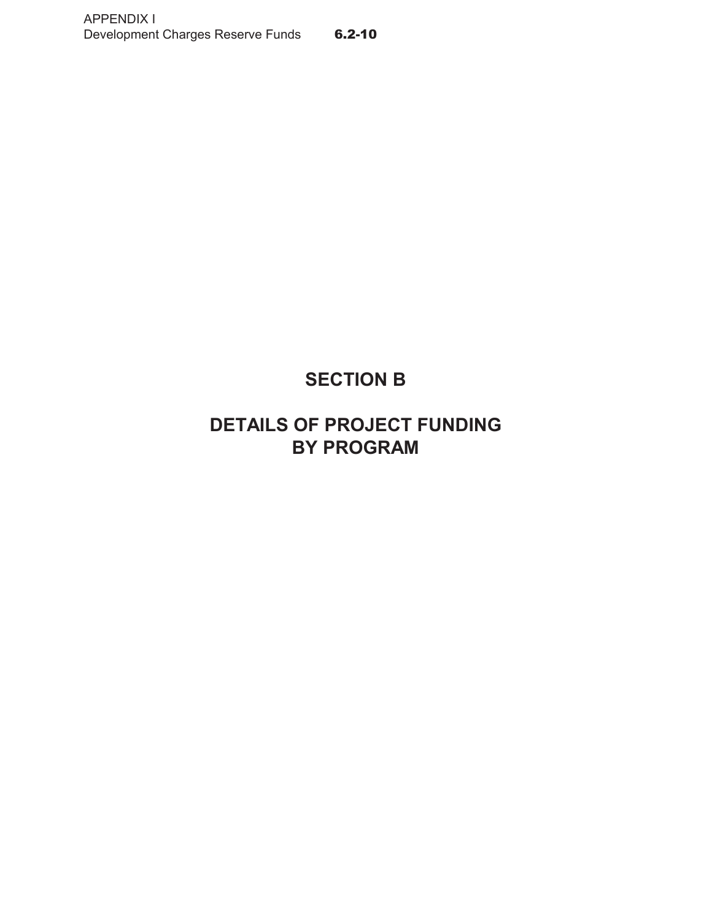# **SECTION B**

# **DETAILS OF PROJECT FUNDING BY PROGRAM**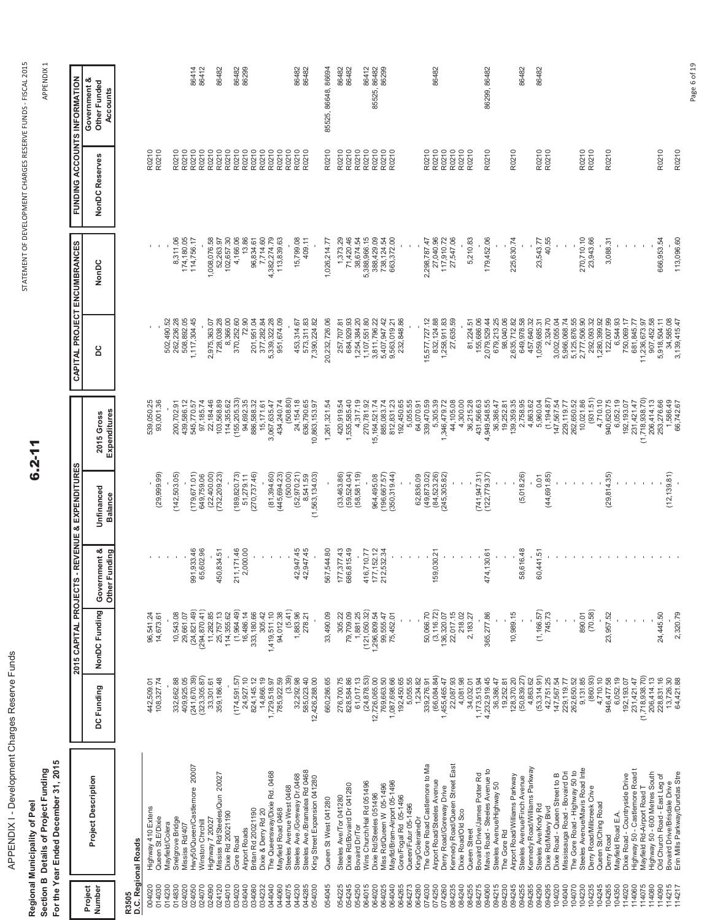APPENDIX I - Development Charges Reserve Funds APPENDIX I - Development Charges Reserve Funds

Regional Municipality of Peel<br>Section B Details of Project Funding<br>For the Year Ended December 31, 2015 **Section B Details of Project Funding Regional Municipality of Peel**

**For the Year Ended December 31, 2015**

 $6.2 - 11$ 

APPEND APPENDIX 1

**FUNDING ACCOUNTS INFORMATION**

**FUNDING ACCOUNTS INFORMATION** 

**CAPITAL PROJECT ENCUMBRANCES**

CAPITAL PROJECT ENCUMBRANCES

**2015 CAPITAL PROJECTS - REVENUE & EXPENDITURES**

2015 CAPITAL PROJECTS - REVENUE & EXPENDITURES

| Project<br>Number          | <b>Project Description</b>                                                                    | DC Funding                               | NonDC Funding                 | Government &<br>Other Funding | Unfinanced<br><b>Balance</b>               | Expenditures<br>2015 Gross               | ပိ                                       | NonDC                      | NonDC Reserves | Government &<br>Other Funded<br>Accounts |
|----------------------------|-----------------------------------------------------------------------------------------------|------------------------------------------|-------------------------------|-------------------------------|--------------------------------------------|------------------------------------------|------------------------------------------|----------------------------|----------------|------------------------------------------|
| R3505                      | D.C. Regional Roads                                                                           |                                          |                               |                               |                                            |                                          |                                          |                            |                |                                          |
| 004020<br>014030           | Highway 410 Extens<br>Queen St.E/Dixie                                                        | 108, 327.74<br>442,509.01                | 96,541.24<br>14,673.61        |                               | (29, 999.99)                               | 539,050.25<br>93,001.36                  |                                          |                            | R0210<br>R0210 |                                          |
| 014230<br>014830           | Snelgrove Bridge<br>Mayfield/Colera                                                           | 332,662.88                               | 10,543.08                     |                               | (142, 503.05)                              | 200,702.91                               | 502,490.52<br>262,236.28                 | 8,311.06                   | R0210          |                                          |
| 024020<br>024050           | Hwy50/Queen/Castlemore 20007<br>Mississ Rd/407                                                | (241, 670.39)<br>409,925.05              | (24, 821.49)<br>29,661.07     | 991, 933.46                   | (179, 671.01)                              | 439,586.12<br>545,770.57                 | 1,117,304.45<br>508,892.05               | 174,180.05<br>114,756.17   | R0210<br>R0210 | 86414                                    |
| 024070<br>024090           | Highway 7 20027<br>Winston Chrchill                                                           | (323, 305.87)<br>33,301.61               | (294, 870.41)<br>11,282.85    | 65,602.96                     | (22, 400.00)<br>649,759.06                 | 97,185.74<br>22,184.46                   | 2,975,363.07                             | 1,008,076.58               | R0210<br>R0210 | 86412                                    |
| 024120                     | Mississ Rd/Steeles/Qun 20027                                                                  | 359, 186.48                              | 25,757.13                     | 450,834.51                    | (732, 209.23)                              | 103,568.89                               | 728,038.28                               | 52,263.97                  | R0210          | 86482                                    |
| 034010<br>034020           | Dixie Rd 20021190<br>Gore Road                                                                | (174, 591, 57                            | (1,964.49)<br>114,355.62      | 211, 171.46                   | (189, 820.73)                              | (155, 205.33)<br>114,355.62              | 8,366.00<br>370,252.60                   | 102,657.30<br>4,166.06     | R0210<br>R0210 | 86482                                    |
| 034040<br>034080           | Britan Rd 20021190<br><b>Airport Roads</b>                                                    | 24,927.10<br>824, 145. 12                | 333, 180.66<br>16,486.14      | 2,000.00                      | (270, 737.46)<br>51,279.11                 | 94,692.35<br>886,588.32                  | 72.90<br>201,951.04                      | 13.86<br>96,834.61         | R0210<br>R0210 | 86299                                    |
| 044040<br>034232           | The Queensway/Dixie Rd. 0468<br>Dixie & Derry Rd 20                                           | 14,866.19<br>1,729,518.97                | 1,419,511.10<br>305.42        |                               | (81, 394.60)                               | 15,171.61<br>3,067,635.47                | 377,282.84<br>5,339,322.28               | 7,714.60<br>4,382,274.79   | R0210<br>R0210 |                                          |
| 044060<br>044075           | Steeles Avenue West 0468<br>Mayfield Road 0468                                                | (3.39)<br>785,922.59                     | (5.41)<br>94,012.38           |                               | (445, 694.23)<br>(500.00)                  | (508.80)<br>434,240.74                   | 951,674.09                               | 113,839.63                 | R0210<br>R0210 |                                          |
| 044230<br>044285<br>054030 | Steeles Ave./Bramalea Rd 0468<br>Steeles Ave./Goreway Dr.0468<br>King Street Expansion 041280 | 32,292.98<br>585,023.40<br>12,426,288.00 | 1,883.96<br>278.21            | 42,947.45<br>42,947.45        | (52, 970.21)<br>(1,563,134.03)<br>8,541.59 | 24,154.18<br>636,790.65<br>10,863,153.97 | 573,311.83<br>7,390,224.82<br>453,314.67 | 15,799.08<br>409.11        | R0210<br>R0210 | 86482<br>86482                           |
| 054045                     | Queen St West 041280                                                                          | 660,286.65                               | 33,490.09                     | 567,544.80                    |                                            | 1,261,321.54                             | 20,232,726.06                            | 1,026,214.77               | R0210          | 85525, 86648, 86694                      |
| 054245<br>054225           | Dixie Rd/Bovaird Dr 041280<br>Steeles Ave/Tor 041280                                          | 276,700.75<br>828,584.86                 | 79,709.09<br>305.22           | 177, 377.43<br>686,815.49     | (33,463.86)                                | 1,535,585.40<br>420,919.54               | 684,929.93<br>257,707.81                 | 71,420.46<br>1,373.29      | R0210<br>R0210 | 86482<br>86482                           |
| 054250                     | Bovaird Dr/Tor                                                                                | 61,017.13                                | 1,881.25                      |                               | $(59, 524.04)$<br>$(58, 581.19)$           | 4,317.19                                 | 1,254,384.20                             | 38,674.54                  | R0210          |                                          |
| 064015<br>064020           | Wins Church/Hal Rd 051496<br>Dixie Rd/Steeles 051496                                          | (24, 878.53)<br>12,726,065.00            | (121, 050.32)<br>1,296,809.54 | 416,710.77                    | 964,495.08                                 | 270,781.92<br>15, 164, 521.74            | 1,107,551.80<br>3,811,796.22             | 5,388,966.15<br>388,429.09 | R0210<br>R0210 | 86412<br>85525, 86482                    |
| 064025                     | Miss Rd/Queen W 05-1496                                                                       | 769,663.50                               | 99,555.47                     | 177, 152. 12<br>212, 532. 34  | (196, 667.57)                              | 885,083.74                               | 5,407,947.42                             | 738, 124.54                | R0210          | 86299                                    |
| 064265<br>064040           | Mayfld/Bram-Airport 05-1496<br>Gore/Fogal Rd 05-1496                                          | 1,087,698.66<br>192,450.65               | 75,452.01                     |                               | (350, 319.44)                              | 192,450.65<br>812,831.23                 | 232,848.86<br>9,563,019.21               | 663,372.00                 | R0210          |                                          |
| 064273                     | Queen/Futur 05-1496                                                                           | 5,055.55                                 |                               |                               |                                            | 5,055.55                                 |                                          |                            |                |                                          |
| 064280<br>074030           | The Gore Road Castlemore to Ma<br>King/ColeraineDr                                            | 1,234.82<br>339,276.91                   | 50,066.70                     |                               | (49, 873.02)<br>62,836.09                  | 64,070.91<br>339,470.59                  | 15,577,727.12                            | 2,298,787.47               | R0210          |                                          |
| 074250                     | Airport Road/Steeles Avenue                                                                   | (66,084,84)                              | (3, 116.72)                   | 159,030.21                    | (84, 523.26)<br>(245, 305.82)              | 5,305.39                                 | 832, 124.88<br>1,258,911.83              | 27,040.96                  | R0210          | 86482                                    |
| 074260<br>084235           | Kennedy Road/Queen Street East<br>Derry Road/Goreway Drive                                    | 22,087.93<br>1,455,465.47                | 22,017.15<br>136,320.07       |                               |                                            | 1,346,479.72<br>44,105.08                | 27,635.59                                | 27,547.06<br>117,910.72    | R0210<br>R0210 |                                          |
| 084240<br>084255           | Dixie Road/Old Sco<br>Queen Street                                                            | 4,081.98<br>34,032.01                    | 218.02<br>2,183.27            |                               |                                            | 4,300.00<br>36,215.28                    | 81,224.51                                | 5,210.83                   | R0210<br>R0210 |                                          |
| 084275                     | Bovaird Drive/James Potter Rd                                                                 | 1,173,513.94                             |                               |                               | $(741, 947.31)$<br>$(122, 779.37)$         | 431,566.63                               | 155,686.06                               |                            |                |                                          |
| 094215<br>094060           | Mavis Road - Steeles Avenue to<br>Steeles Avenue/Highway 50                                   | 4,232,919.45<br>36,386.47                | 365,277.86                    | 474,130.61                    |                                            | 4,949,548.55<br>36,386.47                | 679,213.25<br>2,079,529.44               | 179,452.06                 | R0210          | 86299, 86482                             |
| 094230                     | The Gore Rd                                                                                   | 19,252.81                                |                               |                               |                                            | 19,252.81                                | 98,040.06                                |                            |                |                                          |
| 094245<br>094255           | Airport Road/Williams Parkway<br>Steeles Avenue/Finch Avenue                                  | (50, 839.27)<br>128,370.20               | 10,989.15                     | 58,616.48                     | (5,018.26)                                 | 139,359.35<br>2,758.95                   | 2,635,712.82<br>649,978.58               | 225,630.74                 | R0210          | 86482                                    |
| 094265                     | Kennedy Road/Williams Parkway                                                                 | 4,863.62                                 |                               |                               |                                            | 4,863.62                                 | 457,640.32                               |                            |                |                                          |
| 094295<br>094290           | Steeles Ave/Kndy Rd<br>Dixie Rd/Midwy Blvd                                                    | (53, 314.91)<br>42,751.25                | (1, 166.57)<br>745.73         | 60,441.51                     | (44, 691.85)<br>0.01                       | (1, 194.87)<br>5,960.04                  | 2,324.70<br>1,059,685.31                 | 40.55<br>23,543.77         | R0210<br>R0210 | 86482                                    |
| 104020                     | Dixie Road - Queen Street to B                                                                | 147,567.54                               |                               |                               |                                            | 147,567.54                               | 3,002,055.04                             |                            |                |                                          |
| 04070<br>04040             | The Gore Road - Highway 50 to<br>Mississauga Road - Bovaird Dri                               | 262,650.52<br>229, 119.77                | $\,$                          |                               |                                            | 262,650.52<br>229,119.77                 | 5,966,068.74<br>5,125,876.55             |                            |                |                                          |
| 104230                     | Steeles Avenue/Mavis Road Inte                                                                | 9,131.85                                 | 890.01                        |                               |                                            | 10,021.86                                | 2,777,506.90                             | 270,710.10                 | R0210          |                                          |
| 104235<br>104245           | Derry Road/Millcreek Crive<br>Queen St/Ching Road                                             | (860.93)<br>4,710.10                     | (70.58)                       |                               |                                            | (931.51)<br>4,710.10                     | 292,093.32<br>1,280,399.92               | 23,943.66                  | R0210          |                                          |
| 104265                     | Derry Road                                                                                    | 946,477.58                               | 23,957.52                     |                               | (29, 814.35)                               | 940,620.75                               | 122,007.99                               | 3,088.31                   | R0210          |                                          |
| 104350<br>14020            | Dixie Road - Countryside Drive<br>Mayfield Road E.A.                                          | 6,052.19<br>192, 193.07                  |                               |                               |                                            | 6,052.19<br>192,193.07                   | 6,544.93<br>750,069.17                   |                            |                |                                          |
| 14060                      | Highway 50 - Castlemore Road t                                                                | 231,421.47                               |                               |                               |                                            | 231,421.47                               | 681,845.77                               |                            |                |                                          |
| 14075<br>114080            | Highway 50 - 600 Metres South<br>Mayfield Rd-Airport Road T                                   | (1,718,938.70)<br>206,414.13             | J.                            |                               |                                            | (1,718,938.70)<br>206,414.13             | 907,452.58<br>11,236,673.97              |                            |                |                                          |
| 114090<br>114215           | Old Church Road - East Leg of<br>Bovaird Drive/Brisdale Drive                                 | 228,831.16<br>13,726.30                  | 24,445.50                     |                               | (12, 139.81)                               | 253,276.66<br>1,586.49                   | 34,585.08<br>5,918,504.11                | 666,953.54                 | R0210          |                                          |
| 114217                     | Erin Mills Parkway/Dundas Stre                                                                | 64,421.88                                | 2,320.79                      |                               |                                            | 66.742.67                                | 3.139.415.47                             | 113,096.60                 | R0210          |                                          |

Page 6 of 19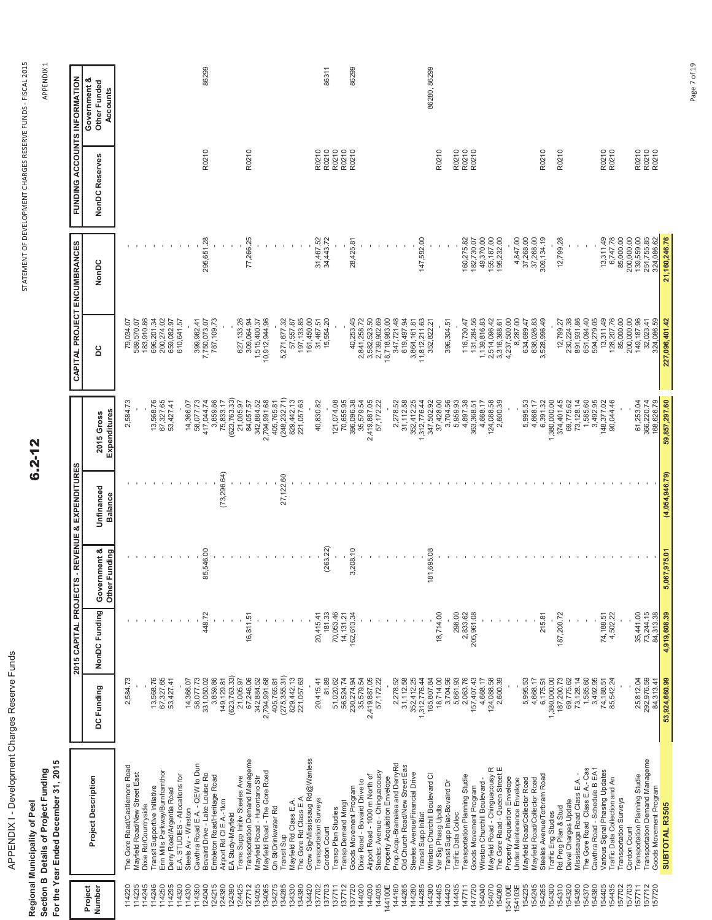| 3<br>ı                |
|-----------------------|
| $\ddot{ }$            |
| ١<br>ነ<br>i<br>Ï<br>Ì |
| ֠<br>١                |
| ı<br>Ï                |
|                       |
| ֚֘֝                   |

**Regional Municipality of Peel Section B Details of Project Funding For the Year Ended December 31, 2015**

Regional Municipality of Peel<br>Section B Details of Project Funding<br>For the Year Ended December 31, 2015

 $6.2 - 12$ 

APPEND APPENDIX 1

|                   |                                                                  |                            | 2015 CAPITAL PROJECT   |                               | S - REVENUE & EXPENDITURES   |                            | CAPITAL PROJECT ENCUMBRANCES             |                          | FUNDING ACCOUNTS INFORMATION |                                          |
|-------------------|------------------------------------------------------------------|----------------------------|------------------------|-------------------------------|------------------------------|----------------------------|------------------------------------------|--------------------------|------------------------------|------------------------------------------|
| Project<br>Number | <b>Project Description</b>                                       | DC Funding                 | NonDC Funding          | Government &<br>Other Funding | Unfinanced<br><b>Balance</b> | Expenditures<br>2015 Gross | 2d                                       | NonDC                    | NonDC Reserves               | Government &<br>Other Funded<br>Accounts |
| 114220            | The Gore Road/Castlemore Road                                    | 2,584.73                   |                        |                               |                              | 2,584.73                   |                                          |                          |                              |                                          |
| 114235            | Mayfield Road/New Street East                                    |                            |                        |                               |                              |                            | 79,034.07                                |                          |                              |                                          |
| 14245             | Dixie Rd/Countryside                                             |                            |                        |                               |                              |                            | 589,570.07<br>183,910.86                 |                          |                              |                                          |
| 14250<br>14246    | Transit Supportive Initiative                                    | 13,568.76                  |                        |                               |                              | 13,568.76                  | 696,201.34<br>200,274.02                 |                          |                              |                                          |
| 14295             | Erin Mills Parkway/Burnhamthor<br>Derry Road/Argentia Road       | 67,327.65<br>53,427.41     |                        |                               |                              | 67,327.65<br>53,427.41     | 659,082.97                               |                          |                              |                                          |
| 14320             | E.A. STUDIES - Allocations for                                   |                            |                        |                               |                              |                            | 610,641.57                               |                          |                              |                                          |
| 14330             | Steels Av - Winston                                              | 14,366.07                  |                        |                               |                              | 14,366.07                  |                                          |                          |                              |                                          |
| 14350             | Cawthra Road E.A. - QEW to Dun                                   | 58,077.73<br>331,050.02    |                        |                               |                              | 58,077.73<br>417,044.74    | 399,982.41                               |                          |                              |                                          |
| 24040<br>24215    | Bovaird Drive - Lake Louise Ro<br>Embleton Road/Heritage Road    | 3,859.86                   | 448.72                 | 85,546.00                     |                              | 3,859.86                   | 7,750,073.07<br>787,109.73               | 295,651.28               | R0210                        | 86299                                    |
| 24380             | Airport Rd CI E.A.-1km                                           | 149, 129.81                |                        |                               | (73, 296.64)                 | 75,833.17                  |                                          |                          |                              |                                          |
| 124390            | EA Study-Mayfield                                                | (623, 763, 33)             |                        |                               |                              | (623, 763.33)              |                                          |                          |                              |                                          |
| 24425             | Trans Supp Initity Steeles Ave                                   | 21,005.97                  |                        |                               |                              | 21,005.97                  | 627, 133.26                              |                          |                              |                                          |
| 27712             | Transportation Demand Manageme                                   | 67,246.06                  | 16,811.5               |                               |                              | 84,057.57                  | 309,064.94                               | 77,266.25                | R0210                        |                                          |
| 134065<br>134055  | Mayfield Road - Hurontario Str<br>Mayfield Road - The Gore Road  | 2,794,991.68<br>342,884.52 |                        |                               |                              | 342,884.52<br>2,794,991.68 | 10,912,944.96<br>1,515,400.37            |                          |                              |                                          |
| 134275            | Qn St/Drinkwater Rd                                              | 405,765.81                 |                        |                               |                              | 405,765.81                 |                                          |                          |                              |                                          |
| 134285            | Transit Sup                                                      | (275, 355.31)              |                        |                               | 27,122.60                    | (248, 232.71)              | 5,271,677.32                             |                          |                              |                                          |
| 134330            | Mayfield Rd Class E.A.                                           | 829, 442.13                |                        |                               |                              | 829,442.13                 |                                          |                          |                              |                                          |
| 134380            | The Gore Rd Class E.A                                            | 221,057.63                 |                        |                               |                              | 221,057.63                 | 57,557.87<br>197,133.85                  |                          |                              |                                          |
| 134420            | Grow Sig-Mississaug Rd@Wanless                                   |                            |                        |                               |                              |                            | 161,450.00                               |                          |                              |                                          |
| 37702             | Transportation Surveys                                           | 20,415.41                  | 20,415.41              |                               |                              | 40,830.82                  | 31,467.51<br>15,554.20                   | 31,467.52                | R0210                        |                                          |
| 137703            | Cordon Count                                                     | 81.89                      | 181.33                 | (263.22)                      |                              |                            |                                          | 34,443.72                | R0210                        | 86311                                    |
| 137711<br>137712  | Transp Demand Mmgt<br>Transp Plan Studies                        | 56,524.74<br>51,020.62     | 70,053.46<br>14, 131.2 |                               |                              | 121,074.08<br>70,655.95    |                                          |                          | R0210<br>R0210               |                                          |
| 37720             | Goods Movement Program                                           | 230,274.94                 | 162,613.34             | 3,208.10                      |                              | 396,096.38                 | 40,253.45                                | 28,425.81                | R0210                        | 86299                                    |
| 144020            | Dixie Road - Bovaird Drive to                                    | 35,579.54                  |                        |                               |                              | 35,579.54                  | 2,841,258.72                             |                          |                              |                                          |
| 144030            | Airport Road - 1000 m North of                                   | 2,419,887.05               |                        |                               |                              | 2,419,887.05               |                                          |                          |                              |                                          |
| 144035            | Steeles Avenue - Chinguacousy                                    | 57, 172.22                 |                        |                               |                              | 57,172.22                  | 3,582,523.50<br>2,739,902.69             |                          |                              |                                          |
| 144100E           | Property Acquisition Envelope                                    |                            |                        |                               |                              |                            | 18,718,983.00                            |                          |                              |                                          |
| 144160            | Prop Acqu-Bramalea and DerryRd                                   | 2,278.52                   |                        |                               |                              | 2,278.52                   | 347,721.48                               |                          |                              |                                          |
| 144265<br>144280  | Old Church Road/New Street Eas<br>Steeles Avenue/Financial Drive | 31, 112.58<br>352,412.25   |                        |                               |                              | 31,112.58<br>352,412.25    | 619,497.94<br>3,864,161.81               |                          |                              |                                          |
| 44285             | Transit Supp Initiat                                             | 1,312,776.44               |                        |                               |                              | 1,312,776.44               | 11,812,211.63                            | 147,592.00               |                              |                                          |
| 44380             | Winston Churchill Boulevard Cl                                   | 165,807.84                 |                        | 181,695.08                    |                              | 347,502.92                 | 352,822.21                               |                          |                              | 86280, 86299                             |
| 144405            | Var Sig Phasg Updts                                              | 18,714.00                  | 18,714.00              |                               |                              | 37,428.00                  |                                          |                          | R0210                        |                                          |
| 144420            | Transit Supp Iniat-Bovaird Dr                                    | 3,704.56                   |                        |                               |                              | 3,704.56<br>5,959.93       | 396,304.51                               |                          |                              |                                          |
| 144435            | Traffic Data Collec                                              | 5,661.93                   | 298.00                 |                               |                              |                            |                                          |                          | R0210                        |                                          |
| 47720<br>147711   | Transportation Planning Studie<br>Goods Movement Program         | 2,063.76<br>157,407.43     | 205,961.08<br>2,833.62 |                               |                              | 4,897.38<br>363,368.51     | 131,284.56<br>116,730.47                 | 160,275.82<br>182,730.07 | R0210<br>R0210               |                                          |
| 54040             | Winston Churchill Boulevard-                                     | 4,668.17                   |                        |                               |                              | 4,668.17                   | 1,139,816.83                             | 49,370.00                |                              |                                          |
| 54070             | Mayfield Road - Chinguacousy R                                   | 124,088.58                 |                        |                               |                              | 124,088.58                 | 2,514,096.42                             | 155, 187.00              |                              |                                          |
| 154080            | The Gore Road - Queen Street E                                   | 2,600.39                   |                        |                               |                              | 2,600.39                   | 3,316,368.61<br>4,237,500.00<br>8,287.00 | 195,232.00               |                              |                                          |
| 154100E           | Property Acquisition Envelope                                    |                            |                        |                               |                              |                            |                                          |                          |                              |                                          |
| 154235<br>154103E | Mayfield Road/Collector Road<br>Under Maintenance Envelope       | 5,995.53                   |                        |                               |                              | 5,995.53                   | 634,699.47                               | 4,847.00                 |                              |                                          |
| 154245            | Mayfield Road/Collector Road                                     | 4,668.17                   |                        |                               |                              | 4,668.17                   | 636,026.83                               | 37,268.00<br>37,268.00   |                              |                                          |
| 54265             | Steeles Avenue/Torbram Road                                      | 6,175.51                   | 215.81                 |                               |                              | 6,391.32                   | 3,528,996.49                             | 309, 134.19              | R0210                        |                                          |
| 54300             | Traffic Eng Studies                                              | 1,380,000.00               |                        |                               |                              | 1,380,000.00               |                                          |                          |                              |                                          |
| 154310            | Rd Prog Plan & Stud                                              | 187,200.73                 | 187,200.72             |                               |                              | 374,401.45                 | 12,799.27                                | 12,799.28                | R0210                        |                                          |
| 154320<br>154350  | Mississauga Road Class E.A.<br>Devel Charges Update              | 73, 128.14<br>69,775.62    |                        |                               |                              | 73,128.14<br>69,775.62     | 230,224.38<br>891,931.86                 |                          |                              |                                          |
| 154370            | The Gore Road Class E.A.- Cas                                    | 1,585.60                   |                        |                               |                              | 1,585.60                   | 651,094.40                               |                          |                              |                                          |
| 154380            | Cawthra Road - Schedule B EA1                                    | 3,492.95                   |                        |                               |                              | 3,492.95                   | 594,279.05                               |                          |                              |                                          |
| 54405             | Various Signal Phasing Updates                                   | 74,188.51                  | 74,188.51              |                               |                              | 148,377.02                 | 13,311.49                                | 13,311.49                | R0210<br>R0210               |                                          |
| 54435<br>57702    | Traffic Data Collection and An<br>Transportation Surveys         | 85,542.24                  | 4,502.22               |                               |                              | 90,044.46                  | 128,207.76<br>85,000.00                  | 6,747.78<br>85,000.00    |                              |                                          |
| 57703             | Cordon Count                                                     |                            |                        |                               |                              |                            | 200,000.00                               |                          |                              |                                          |
| 157711            | Transportation Planning Studie                                   | 25,812.04                  | 35,441.00              |                               |                              |                            | 149, 187.96                              | 200,000.00<br>139,559.00 |                              |                                          |
| 157712            | Transportation Demand Manageme                                   | 292,976.59                 | 73,244.15              |                               |                              | 61,253.04<br>366,220.74    | 32,023.41                                | 251,755.85               | R0210<br>R0210               |                                          |
| 157720            | Goods Movement Program                                           | 84,313.41                  | 84,313.38              |                               |                              | 168,626.79                 | 324,086.59                               | 324,086.62               | R0210                        |                                          |
|                   | SUBTOTAL R3505                                                   | 53,924,660.99              | 4,919,608.39           | 5,067,975.01                  | (4,054,946.79)               | 59,857,297.60              | 227,096,401.42                           | 21,160,246.76            |                              |                                          |

Page 7 of 19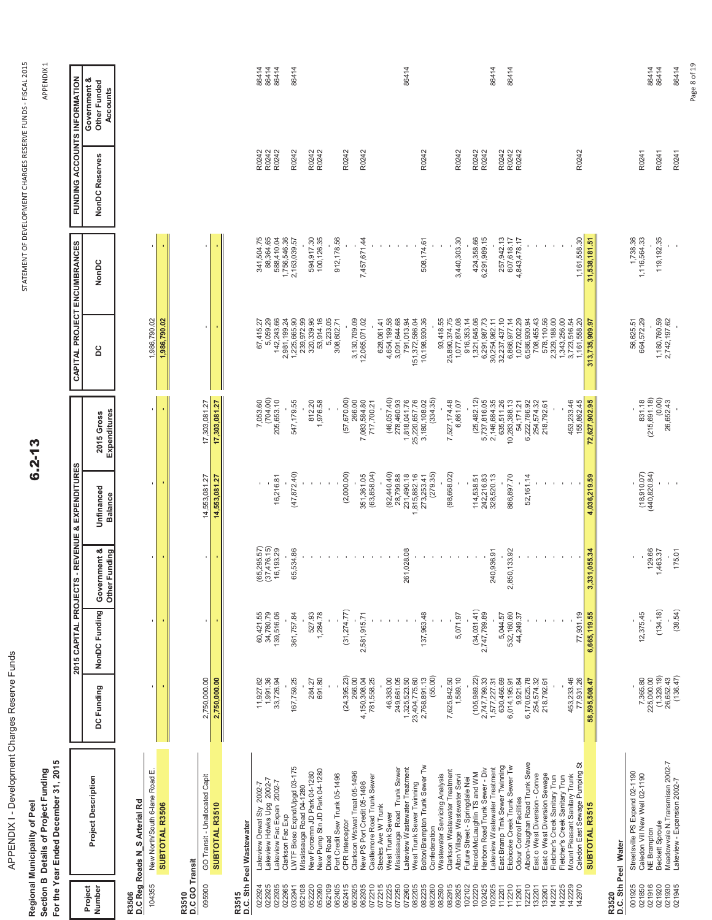APPENDIX I - Development Charges Reserve Funds APPENDIX I - Development Charges Reserve Funds

Regional Municipality of Peel<br>Section B Details of Project Funding<br>For the Year Ended December 31, 2015 **Section B Details of Project Funding Regional Municipality of Peel**

**For the Year Ended December 31, 2015**

 **Project** 

**Number Project Description**

**Project Description** 

 $6.2 - 13$ 

APPEND APPENDIX 1

**FUNDING ACCOUNTS INFORMATION**

**FUNDING ACCOUNTS INFORMATION** 

**CAPITAL PROJECT ENCUMBRANCES**

CAPITAL PROJECT ENCUMBRANCES

**2015 CAPITAL PROJECTS - REVENUE & EXPENDITURES**

2015 CAPITAL PROJECTS - REVENUE & EXPENDITURES

 **Government & Other Funded** 

Government &<br>Other Funded

| Number                     | Project Description                                              | DC Funding                                        | NonDC Funding          | Government &<br>Other Funding                    | Unfinanced<br><b>Balance</b>             | Expenditures<br>2015 Gross       | 2d                               | NonDC                                   | NonDC Reserves | Other Funded<br>Accounts |
|----------------------------|------------------------------------------------------------------|---------------------------------------------------|------------------------|--------------------------------------------------|------------------------------------------|----------------------------------|----------------------------------|-----------------------------------------|----------------|--------------------------|
| 104355<br>R3506            | New North/South 6-lane Road E<br>D.C Reg Roads N_S Arterial Rd   |                                                   | $\mathbf{r}_\perp$     | t.                                               |                                          |                                  | 1,986,790.02                     |                                         |                |                          |
|                            | SUBTOTAL R3506                                                   |                                                   |                        |                                                  |                                          |                                  | 1,986,790.02                     |                                         |                |                          |
| R3510<br>D.C GO Transit    |                                                                  |                                                   |                        |                                                  |                                          |                                  |                                  |                                         |                |                          |
| 095900                     | GO Transit - Unallocated Capit                                   | 2,750,000.00                                      |                        | $\,$                                             | 14,553,081.27                            | 17,303,081.27                    |                                  |                                         |                |                          |
|                            | SUBTOTAL R3510                                                   | 2,750,000.00                                      |                        | ٠                                                | 14,553,081.27                            | 17,303,081.27                    |                                  |                                         |                |                          |
| R3515                      | D.C. Sth Peel Wastewater                                         |                                                   |                        |                                                  |                                          |                                  |                                  |                                         |                |                          |
| 022924                     | Lakeview Dewat Sty 2002-7                                        | 11,927.62                                         | 60,421.55<br>34,780.79 |                                                  |                                          | 7,053.60                         | 67,415.27                        | 341,504.75                              | R0242<br>R0242 | 86414<br>86414           |
| 022925<br>022935           | Lakeview Hdwks Upg 2002-7<br>Lakeview Fac Expan 2002-7           | 1,991.36<br>33,726.94                             | 139,516.06             | $(65, 295.57)$<br>$(37, 476.15)$<br>$16, 193.29$ | 16,216.81                                | (704.00)<br>205,653.10           | 142,243.66<br>5,059.29           | 88,364.65<br>588,410.04<br>1,756,546.36 | R0242          | 86414                    |
| 022965<br>032941           | LWTF Bioso Expnd/Upgd 03-175<br>Clarkson Fac Exp                 | 167,759.25                                        | 361,757.84             | 65,534.86                                        | (47, 872.40)                             | 547,179.55                       | 2,981,199.24<br>1,225,665.90     | 2,163,039.57                            | R0242          | 86414                    |
| 052108<br>052220           | New Forcemn JD Park 04-1280<br>Mississauga Road 04-1280          | 284.27                                            | 527.93                 |                                                  |                                          |                                  | 320,339.96<br>239,972.99         | 594,917.30                              | R0242          |                          |
| 052990                     | New Pump Stn JD Park 04-1280                                     | 691.80                                            | 1,284.78               |                                                  |                                          | 812.20<br>1,976.58               | 53,914.16                        | 100, 126.35                             | R0242          |                          |
| 062405<br>062109           | Port Credit Sew Trunk 05-1496<br>Dixie Road                      |                                                   |                        |                                                  |                                          |                                  | 5,233.05<br>308,602.71           | 912,178.56                              |                |                          |
| 062415                     | CPR Interceptor                                                  | (24, 395.23)                                      | (31,274.77)            |                                                  | (2,000.00)                               | (57,670.00)                      |                                  |                                         | R0242          |                          |
| 062935<br>062925           | Clarkson Wstwat Treat 05-1496<br>New PS Port Credit 05-1496      | 266.00<br>4,150,308.04                            | 2,581,915.71           |                                                  | 351,361.05                               | 266.00<br>7,083,584.80           | 3,130,709.09<br>12,065,071.02    | 7,457,671.44                            | R0242          |                          |
| 072210                     | Castlemore Road Trunk Sewer                                      | 781,558.25                                        |                        |                                                  | (63, 858.04)                             | 717,700.21                       |                                  |                                         |                |                          |
| 072215<br>072225           | Steeles Ave W Trunk<br>West Trunk Sewer                          | 46,383.00                                         |                        | - 11<br>$\mathbf{I}$                             | (92,440.40)                              | (46,057,40)                      | 4,654,199.58<br>628,061.41       |                                         |                |                          |
| 072250                     | Mississauga Road Trunk Sewer                                     | 249,661.05                                        |                        |                                                  | 28,799.88                                | 278,460.93                       | 3,091,644.68                     |                                         |                |                          |
| 072960<br>082205           | Lakeview Wastewater Treatment<br>West Trunk Sewer Twinning       | 1,325,523.50<br>23,404,775.60<br>2,768,891.13     |                        | 261,028.08<br>$\mathbf{I}$                       | 231,490.18<br>1,815,882.16<br>273,253.41 | 1,818,041.76<br>25,220,657.76    | 791,013.94                       |                                         |                | 86414                    |
| 082235                     | Bolton/Brampton Trunk Sewer Tw                                   |                                                   | 137,963.48             |                                                  |                                          | 3,180,108.02                     | 151,372,586.04<br>10,198,930.36  | 508, 174.61                             | R0242          |                          |
| 082260<br>082590           | Wastewater Servicing Analysis<br>Confederation                   | (55.00)                                           |                        |                                                  | (279.35)                                 | (334.35)                         | 93,418.55                        |                                         |                |                          |
| 082915                     | Clarkson Wastewater Treatment                                    | 7,625,842.50                                      |                        |                                                  | (98, 668.02)                             | 7,527,174.48<br>6,661.07         | 25,890,374.75                    |                                         |                |                          |
| 092825<br>102102           | Alton Village Wastewater Servi<br>Future Street - Springdale Nei | 1,589.10                                          | 5,071.97               | $\mathbf{I}$                                     |                                          |                                  | 1,077,874.08                     | 3,440,303.30                            | R0242          |                          |
| 102220                     | Harold/McLaughlin TS and WM                                      | (105, 989.22)                                     | (34, 031.41)           |                                                  | 114,538.51                               | (25,482,12)                      | 1,321,645.06<br>916,353.14       | 424,358.66                              | R0242          |                          |
| 102425                     | Harborn Road Trunk Sewer - Div                                   | 2,747,799.33<br>1,577,227.31                      | 2,747,799.89           |                                                  | 242,216.83<br>328,520.13                 | 5,737,816.05<br>2,146,684.35     | 6,291,987.73<br>30,254,962.11    | 6,291,989.15                            | R0242          |                          |
| 102925<br>112201           | East Bramp Trnk Sewer Twinning<br>Lakeview Wastewater Treatment  | 630,466.69                                        | 5,044.57               | 240,936.91                                       |                                          | 635,511.26                       | 32,237,437.10                    | 257,942.13                              | R0242          | 86414                    |
| 12210                      | Etobicoke Creek Trunk Sewer Tw                                   | 6,014,195.91                                      | 532, 160.60            | 2,850, 133.92                                    | 886,897.70                               | 10,283,388.13                    | 6,866,977.14                     | 607,618.17                              | R0242          | 86414                    |
| 22210<br>12901             | Albion-Vaughan Road Trunk Sewe<br>Odour Control Facilities       | 6,170,625.78<br>9,921.84                          | 44,249.37              |                                                  | 52,161.14                                | 6,222,786.92<br>54,171.21        | 1,072,002.29<br>6,586,930.94     | 4,843,478.17                            | R0242          |                          |
| 132201                     | East o West Diversion - Conve                                    | 254,574.32                                        |                        |                                                  |                                          | 254,574.32                       | 708,455.43                       |                                         |                |                          |
| 132901<br>142221           | East o West Diversion Sewage<br>Fletcher's Creek Sanitary Trun   | 218,792.61                                        |                        |                                                  |                                          | 218,792.61                       | 578,110.56<br>2,329,188.00       |                                         |                |                          |
| 142225                     | Fletcher's Creek Sanitary Trun                                   |                                                   |                        |                                                  |                                          |                                  | 1,343,256.00                     |                                         |                |                          |
| 142229<br>142970           | Caledon East Sewage Pumping St<br>Mount Pleasant Sanitary Trunk  | 453,233.46<br>77,931.26                           | 77.931.19              |                                                  |                                          | 453,233.46<br>155,862.45         | 1,161,558.20<br>3,723,516.54     | 1,161,558.30                            | R0242          |                          |
|                            | SUBTOTAL R3515                                                   | 58,595,508.47                                     | 6,665,119.55           | 1,055.34<br>3,33'                                | 4,036,219.59                             | 72,627,902.95                    | 313,735,909.97                   | 31,538,181.51                           |                |                          |
| R3520                      | D.C. Sth Peel Water                                              |                                                   |                        |                                                  |                                          |                                  |                                  |                                         |                |                          |
| 001925                     | Streetsville PS Expand 02-1190                                   |                                                   |                        |                                                  |                                          |                                  | 56,625.51                        | 1,738.36                                |                |                          |
| 021850                     | Caledon Vill New Well 02-1190<br>NE Brampton                     |                                                   | 12,375.45              | 129.66                                           | $(18,910.07)$<br>$(440,820.84)$          | 831.18<br>(215,691.18)<br>(0.00) | 664,572.29                       | 1,116,564.33                            | R0241          | 86414                    |
| 021916<br>021920<br>021930 | Meadowvale N. Transmissn 2002-7<br>Beckett Sproule               | 7,365.80<br>225,000.00<br>(1,329.19)<br>26,652.43 | (134.18)               | ,463.37                                          |                                          | 26,652.43                        | 1, 180, 760.59<br>2, 742, 197.62 | 119, 192.35                             | R0241          | 86414                    |
| 021945                     | Lakeview - Expansion 2002-7                                      | (136.47)                                          | (38.54)                | 175.01                                           |                                          |                                  |                                  |                                         | R0241          | 86414                    |
|                            |                                                                  |                                                   |                        |                                                  |                                          |                                  |                                  |                                         |                | Page 8 of 19             |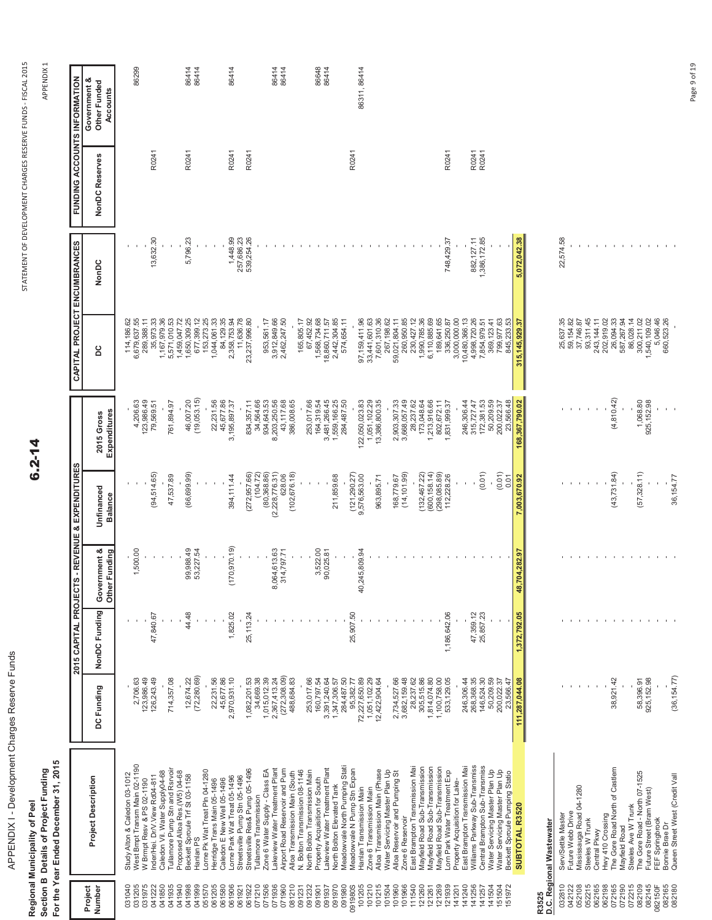| i                     |
|-----------------------|
| ı                     |
| i<br>١<br>נ           |
| l<br>l<br>١<br>ı      |
| Ï<br>ו<br>ו<br>ı<br>ļ |

Regional Municipality of Peel<br>Section B Details of Project Funding<br>For the Year Ended December 31, 2015 **For the Year Ended December 31, 2015 Section B Details of Project Funding Regional Municipality of Peel**

 $6.2 - 14$ 

APPEND APPENDIX 1

|                   |                                |                |               |                                  | 2015 CAPITAL PROJECTS - REVENUE & EXPENDITURES |                            |                  | CAPITAL PROJECT ENCUMBRANCES |                | FUNDING ACCOUNTS INFORMATION             |
|-------------------|--------------------------------|----------------|---------------|----------------------------------|------------------------------------------------|----------------------------|------------------|------------------------------|----------------|------------------------------------------|
| Project<br>Number | <b>Project Description</b>     | DC Funding     | NonDC Funding | Government &<br>Funding<br>Other | Unfinanced<br><b>Balance</b>                   | Expenditures<br>2015 Gross | <b>DC</b>        | NonDC                        | NonDC Reserves | Government &<br>Other Funded<br>Accounts |
| 031040            | Study Alton & Caledon 03-1012  |                |               |                                  |                                                |                            | 114,186.62       |                              |                |                                          |
| 031205            | West Bmpt Transm Main 02-1190  | 2,706.63       |               | 1,500.00                         |                                                | 4,206.63                   | 6,679,637.55     |                              |                | 86299                                    |
| 031975            | W Brmpt Resv & PS 02-1190      | 123,986.49     |               |                                  |                                                | 123,986.49                 | 289,388.11       |                              |                |                                          |
| 041222            | Inder/Hei. Dr/V.View Rd04-811  | 126,243.49     | 47,840.67     |                                  | (94, 514.65)                                   | 79,569.51                  | 35,973.33        | 13,632.30                    | R0241          |                                          |
| 041850            | Caledon Vil. Water Supply04-68 |                |               |                                  |                                                |                            | 1,167,979.36     |                              |                |                                          |
| 041935            | Tullamore Pump Stn and Rsrvoir | 714,357.08     |               |                                  | 47,537.89                                      | 761,894.97                 | 5,571,010.53     |                              |                |                                          |
| 041940            | Proposed Alloa Res.(W5) 04-68  |                |               |                                  |                                                |                            | 1,459,047.72     |                              |                |                                          |
| 041998            | Beckett Sproule Trf St 03-1158 | 12,674.22      | 44.48         | 99,988.49                        | (66,699.99)                                    | 46,007.20                  | 1,650,309.25     | 5,796.23                     | R0241          | 86414                                    |
| 041999            | Hanlan <sub>PS</sub>           | (72, 280.69)   |               | 53,227.54                        |                                                | (19,053.15)                | 677,399.12       |                              |                | 86414                                    |
| 051570            | Lorne Pk Wat Treat Pln 04-1280 |                |               |                                  |                                                |                            | 153,273.25       |                              |                |                                          |
| 061205            | Herridge Trans Main 05-1496    | 22,231.56      |               |                                  |                                                | 22,231.56                  | 1,044,061.33     |                              |                |                                          |
| 061580            | Caledon E New Well 05-1496     | 45,677.86      |               |                                  |                                                | 45,677.86                  | 84,129.35        |                              |                |                                          |
| 061906            | Lorne Park Wat Treat 05-1496   | 2,970,931.10   | 1,825.02      | 170,970.19)                      | 394, 111.44                                    | 3,195,897.37               | 2,358,753.94     | 1,448.99                     | R0241          | 86414                                    |
| 061921            | Streetsville Pump Stn 05-1496  |                |               |                                  |                                                |                            | 11,636.78        | 257,686.23                   |                |                                          |
| 061922            | Streetsville Res& Pump 05-1496 | 1,082,201.53   | 25,113.24     |                                  | (272, 957.66)                                  | 834,357.11                 | 23,237,996.80    | 539,254.26                   | R0241          |                                          |
| 071210            | Tullamore Transmission         | 34,669.38      |               |                                  | (104.72)                                       | 34,564.66                  |                  |                              |                |                                          |
| 071506            | Zone 6 Water Supply - Class EA | 1,015,012.39   |               |                                  | (80,368.86)                                    | 934,643.53                 | 953,561.17       |                              |                |                                          |
| 071936            | Lakeview Water Treatment Plant | 2,367,413.24   |               | 8,064,613.63                     | (2,228,776.31)                                 | 8,203,250.56               | 3,912,849.66     |                              |                | 86414                                    |
| 071960            | Airport Road Reservoir and Pum | (272, 308.09)  |               | 314,797.7                        | 628.06                                         | 43,117.68                  | 2,462,247.50     |                              |                | 86414                                    |
| 081210            | Alloa Transmission Main (South | 488,684.83     |               |                                  | (102, 676, 18)                                 | 386,008.65                 |                  |                              |                |                                          |
| 091231            | N. Bolton Transmission 08-1146 |                |               |                                  |                                                |                            | 165,805.17       |                              |                |                                          |
| 091232            | North Bolton Transmission Main | 253,017.66     |               |                                  |                                                | 253,017.66                 | 67,452.92        |                              |                |                                          |
| 091901            | Property Acquisition for South | 160,797.54     |               | 3,522.00                         |                                                | 164,319.54                 | 1,568,734.68     |                              |                | 86648                                    |
| 091937            | Lakeview Water Treatment Plant | 3,391,240.64   |               | 90,025.81                        |                                                | 3,481,266.45               | 18,860,711.57    |                              |                | 86414                                    |
| 091970            | North Bolton Elevated Tank     | 1,347,306.57   |               |                                  | 211,859.68                                     | 1,559,166.25               | 2,442,304.85     |                              |                |                                          |
| 091980            | Meadowvale North Pumping Stati | 284,487.50     |               |                                  |                                                | 284,487.50                 | 574,654.11       |                              |                |                                          |
| 091980S           | Meadowvale N Pump Stn Expan    | 95,382.77      | 25,907.50     |                                  | (121, 290.27                                   |                            |                  |                              | R0241          |                                          |
| 101205            | Hanlan Transmission Main       | 72,227,650.89  |               | 40,245,809.94                    | 9,576,563.00                                   | 122,050,023.83             | 97,159,411.96    |                              |                | 86311, 86414                             |
| 101210            | Zone 6 Transmission Main       | 1,051,102.29   |               |                                  |                                                | 1,051,102.29               | 33,441,601.63    |                              |                |                                          |
| 101215            | Alloa Transmission Main (Phase | 12,422,904.64  |               |                                  | 963,895.71                                     | 13,386,800.35              | 7,601,310.36     |                              |                |                                          |
| 101504            | Water Servicing Master Plan Up |                |               |                                  |                                                |                            | 267,198.62       |                              |                |                                          |
| 101960            | Alloa Reservoir and Pumping St | 2,734,527.66   |               |                                  | 168,779.67                                     | 2,903,307.33               | 59,021,804.11    |                              |                |                                          |
| 101966            | Zone 6 Reservoir               | 3,682,159.48   |               |                                  | (14, 101.99)                                   | 3,668,057.49               | 260,950.85       |                              |                |                                          |
| 11540             | East Brampton Transmission Mai | 28,237.62      |               |                                  |                                                | 28,237.62                  | 230,427.12       |                              |                |                                          |
| 121260            | Mayfield Road Sub-Transmission | 305,515.86     |               |                                  | (132, 467, 22)                                 | 173,048.64                 | 1,990,785.36     |                              |                |                                          |
| 121261            | Mayfield Road Sub-Transmission | 1,814,074.80   |               |                                  | (600, 158.14)                                  | ,213,916.66                | 6,110,885.69     |                              |                |                                          |
| 121269            | Mayfield Road Sub-Transmission | 1,100,758.00   |               |                                  | 298,085.89                                     | 802,672.11                 | 189,641.65       |                              |                |                                          |
| 121939            | orn Park Water Treatment Exp   | 533, 129.05    | 1,186,642.06  |                                  | 112,228.26                                     | 831,999.37                 | 336,250.87       | 748,429.37                   | R0241          |                                          |
| 141201            | Property Acquisition for Lake- |                |               |                                  |                                                |                            | 3,000,000.00     |                              |                |                                          |
| 141240            | East Brampton Transmission Mai | 246,306.44     |               |                                  |                                                | 246,306.44                 | 10,480,366.13    |                              |                |                                          |
| 141256            | Williams Parkway Sub-Transmiss | 268,368.35     | 47,359.12     |                                  |                                                | 315,727.47                 | 4,998,720.26     | 882, 127.11                  | R0241          |                                          |
| 141257            | Central Brampton Sub-Transmiss | 146,524.30     | 25,857.23     |                                  | (0.01)                                         | 172,381.53                 | 7,854,979.51     | 1,386,172.85                 | R0241          |                                          |
| 41504             | Water Servicing Master Plan Up | 50,209.59      |               |                                  |                                                | 50,209.59                  | 369, 123.41      |                              |                |                                          |
| 51504             | Water Servicing Master Plan Up | 200,022.37     |               |                                  | (0.01)                                         | 200,022.37                 | 799,977.63       |                              |                |                                          |
| 51972             | Beckett Sproule Pumping Statio | 23,566.47      |               |                                  | 0.01                                           | 23,566.48                  | 845,233.53       |                              |                |                                          |
|                   | SUBTOTAL R3520                 | 111,287,044.08 | 1,372,792.05  | 704,282.97<br>48,                | 7,003,670.92                                   | 168,367,790.02             | 315, 145, 929.37 | 5,072,042.38                 |                |                                          |
|                   |                                |                |               |                                  |                                                |                            |                  |                              |                |                                          |

**R3525**

|                                                                                                                                                                                                                                                                                                         | D.C. Regional Wastewater                        |                                                          |  |                                                              |                                                         |                                                                                                                                                                                                                                                          |                |
|---------------------------------------------------------------------------------------------------------------------------------------------------------------------------------------------------------------------------------------------------------------------------------------------------------|-------------------------------------------------|----------------------------------------------------------|--|--------------------------------------------------------------|---------------------------------------------------------|----------------------------------------------------------------------------------------------------------------------------------------------------------------------------------------------------------------------------------------------------------|----------------|
| $\begin{smallmatrix} 22510 \\ 23212 \\ 24122 \\ 25210 \\ 25210 \\ 25210 \\ 25210 \\ 25210 \\ 25210 \\ 25210 \\ 25210 \\ 25210 \\ 25210 \\ 25210 \\ 25210 \\ 25210 \\ 25210 \\ 25210 \\ 25210 \\ 25210 \\ 25210 \\ 25210 \\ 25210 \\ 25210 \\ 25210 \\ 25210 \\ 25210 \\ 25210 \\ 25210 \\ 25210 \\ 252$ | Serv/Settle Master                              |                                                          |  |                                                              |                                                         |                                                                                                                                                                                                                                                          |                |
|                                                                                                                                                                                                                                                                                                         | -uture Webb Drive                               |                                                          |  |                                                              |                                                         |                                                                                                                                                                                                                                                          | 22,574.58<br>- |
|                                                                                                                                                                                                                                                                                                         | <b><i>Aississauga Road 04-1280</i></b>          |                                                          |  |                                                              |                                                         |                                                                                                                                                                                                                                                          |                |
|                                                                                                                                                                                                                                                                                                         | Steeles W Trunk                                 |                                                          |  |                                                              |                                                         |                                                                                                                                                                                                                                                          |                |
|                                                                                                                                                                                                                                                                                                         | Central Pkwy                                    |                                                          |  |                                                              |                                                         |                                                                                                                                                                                                                                                          |                |
|                                                                                                                                                                                                                                                                                                         | Hwy 410 Crossing                                |                                                          |  |                                                              |                                                         |                                                                                                                                                                                                                                                          |                |
|                                                                                                                                                                                                                                                                                                         |                                                 |                                                          |  |                                                              |                                                         |                                                                                                                                                                                                                                                          |                |
|                                                                                                                                                                                                                                                                                                         | The Gore Road North of Castlem<br>Mayfield Road | $38,921,42$<br>$58,396,91$<br>$25,152,98$<br>$25,152,98$ |  | 43,731.84)<br>$\frac{1}{57,328,11}$<br>$\frac{1}{57,328,11}$ | $(4,810.42)$<br>$1,068.80$<br>$1,068.80$<br>$25,152.98$ | $\begin{array}{l} 25,637,35\\ 25,754,47,76\\ 35,714,47,78\\ 36,744,74\\ 37,714,74,78\\ 38,744,744,78\\ 39,743,744,78\\ 30,743,744,78\\ 30,76,76,77\\ 36,76,76,77\\ 36,76,77\\ 36,77,77\\ 36,77,78\\ 36,77,77\\ 36,77,78\\ 36,77,78\\ 36,77,78\\ 36,77,7$ |                |
|                                                                                                                                                                                                                                                                                                         | Steeles Ave W Trunk                             |                                                          |  |                                                              |                                                         |                                                                                                                                                                                                                                                          |                |
|                                                                                                                                                                                                                                                                                                         | The Gore Road - North 07-1525                   |                                                          |  |                                                              |                                                         |                                                                                                                                                                                                                                                          |                |
|                                                                                                                                                                                                                                                                                                         | uture Street (Bram West)                        |                                                          |  |                                                              |                                                         |                                                                                                                                                                                                                                                          |                |
|                                                                                                                                                                                                                                                                                                         | EF Springbrook                                  |                                                          |  |                                                              |                                                         |                                                                                                                                                                                                                                                          |                |
| 082165                                                                                                                                                                                                                                                                                                  | <b>Sonnie Brae Dr</b>                           |                                                          |  |                                                              |                                                         |                                                                                                                                                                                                                                                          |                |
| 082180                                                                                                                                                                                                                                                                                                  | Queen Street West (Credit Vall                  |                                                          |  |                                                              |                                                         |                                                                                                                                                                                                                                                          |                |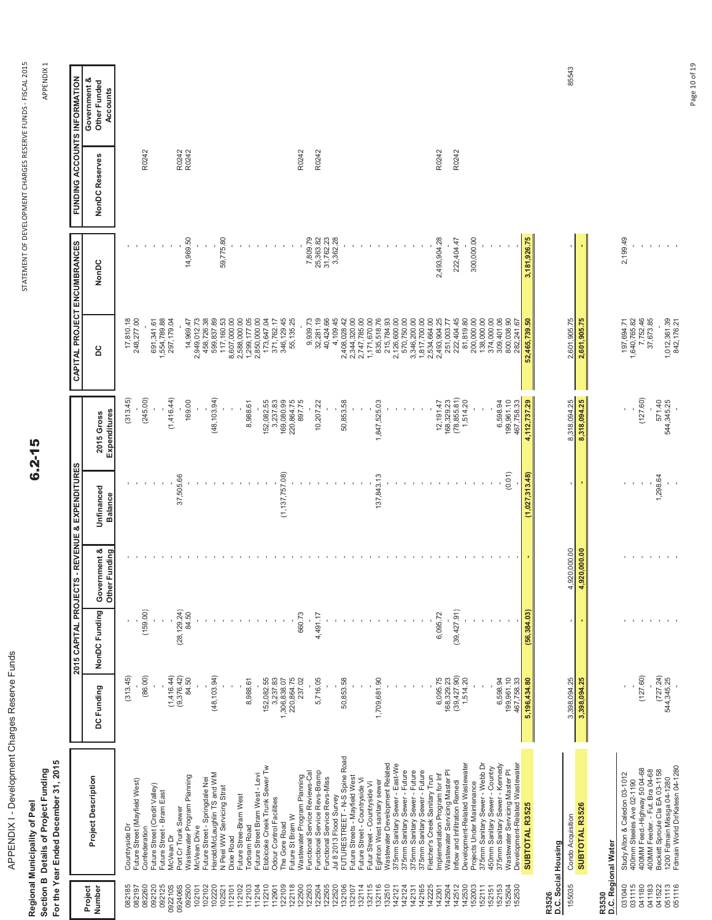| APPENDIX I - Development Charges Reserve Funds | For the Year Ended December 31, 2015<br>Section B Details of Project Funding<br>Regional Municipality of Peel |  |
|------------------------------------------------|---------------------------------------------------------------------------------------------------------------|--|

 $6.2 - 15$ 

APPEND APPENDIX 1

|                   |                                                                  |                             | 2015 CAPITAL PROJECT |                                  | S - REVENUE & EXPENDITURES   |                            |                              | CAPITAL PROJECT ENCUMBRANCES |                | <b>FUNDING ACCOUNTS INFORMATION</b>      |
|-------------------|------------------------------------------------------------------|-----------------------------|----------------------|----------------------------------|------------------------------|----------------------------|------------------------------|------------------------------|----------------|------------------------------------------|
| Number<br>Project | <b>Project Description</b>                                       | DC Funding                  | NonDC Funding        | Government &<br>Funding<br>Other | Unfinanced<br><b>Balance</b> | Expenditures<br>2015 Gross | 2c                           | NonDC                        | NonDC Reserves | Government &<br>Other Funded<br>Accounts |
| 082185            | Countryside Dr                                                   | (313.45)                    |                      |                                  |                              | (313.45)                   | 17,810.18                    |                              |                |                                          |
| 082197            | Future Street (Mayfield West)                                    |                             |                      |                                  |                              |                            | 248,277.00                   |                              |                |                                          |
| 082260<br>092120  | Future Street (Credit Valley)<br>Confederation                   | (86.00)                     | (159.00)             |                                  |                              | (245.00)                   |                              |                              | R0242          |                                          |
| 092125            | Future Street - Bram East                                        |                             |                      |                                  |                              |                            | 691,341.61<br>1,554,789.88   |                              |                |                                          |
| 092210S           | McVean Dr                                                        | (1, 416.44)                 |                      |                                  |                              | (1,416.44)                 | 297,179.04                   |                              |                |                                          |
| 092406S           | Port Cr Trunk Sewer                                              | (9,376,42)                  | (28, 129.24)         |                                  | 37,505.66                    |                            |                              |                              | R0242<br>R0242 |                                          |
| 092500            | Wastewater Program Planning                                      | 84.50                       | 84.50                |                                  |                              | 169.00                     | 14,969.47                    | 14,969.50                    |                |                                          |
| 102101            | McVean Drive                                                     |                             |                      |                                  |                              |                            | 2,949,012.73                 |                              |                |                                          |
| 102102<br>102220  | Harold/McLaughlin TS and WM<br>Future Street - Springdale Nei    | (48, 103.94)                |                      |                                  |                              | (48, 103.94)               | 599,837.89<br>458,726.38     |                              |                |                                          |
| 102521            | N Peel WW Servicing Strat                                        |                             |                      |                                  |                              |                            | 117,160.53                   | 59,775.80                    |                |                                          |
| 12101             | Dixie Road                                                       |                             |                      |                                  |                              |                            | 8,607,000.00                 |                              |                |                                          |
| 12102             | Future Stree-Bram West                                           |                             |                      |                                  |                              |                            | 2,588,000.00                 |                              |                |                                          |
| 12103             | <b>Torbram Road</b>                                              | 8,988.61                    |                      |                                  |                              | 8,988.61                   | 1,299,177.05                 |                              |                |                                          |
| 12104             | Future Street Bram West - Levi                                   |                             |                      |                                  |                              |                            | 2,850,000.00                 |                              |                |                                          |
| 12210             | Etobicoke Creek Trunk Sewer Tw                                   | 152,082.55                  |                      |                                  |                              | 152,082.55                 | 173,647.04                   |                              |                |                                          |
| 12901             | Odour Control Facilities                                         | 3,237.83                    |                      |                                  |                              | 3,237.83                   | 371,762.17                   |                              |                |                                          |
| 122109<br>22118   | Future St Bram W<br>The Gore Road                                | 1,306,838.07<br>220,864.75  |                      |                                  | (1, 137, 757.08)             | 169,080.99<br>220,864.75   | 346,129.45<br>55,135.25      |                              |                |                                          |
| 22500             | Wastewater Program Planning                                      | 237.02                      | 660.73               |                                  |                              | 897.75                     |                              |                              | R0242          |                                          |
| 122503            | Functional Service Reviews-Cal                                   |                             |                      |                                  |                              |                            | 9,939.73                     | 7,809.79                     |                |                                          |
| 122504            | Functional Service Revs-Bramp                                    | 5,716.05                    | 4,491.17             |                                  |                              | 10,207.22                  |                              |                              | R0242          |                                          |
| 122505            | Functional Service Revs-Miss                                     |                             |                      |                                  |                              |                            | 32,281.19<br>40,424.66       | 25,363.82<br>31,762.23       |                |                                          |
| 22520             | Jul 8 2013 Flood Survey<br>FUTURESTREET - N-S Spine Road         |                             |                      |                                  |                              |                            | 4,109.45                     | 3,362.28                     |                |                                          |
| 132106            |                                                                  | 50,853.58                   |                      |                                  |                              | 50,853.58                  | 2,408,028.42                 |                              |                |                                          |
| 132107            | Future Streets - Mayfield West                                   |                             |                      |                                  |                              |                            | 2,344,320.00                 |                              |                |                                          |
| 132114<br>132115  | Future Street - Countryside Vi<br>Futur Street - Countryside Vi  |                             |                      |                                  |                              |                            | 2,747,785.00<br>1,171,670.00 |                              |                |                                          |
| 132116            | Eglinton West sanitary sewer                                     | 1,709,681.90                |                      |                                  | 137,843.13                   | 1,847,525.03               | 835,518.76                   |                              |                |                                          |
| 132510            | Wastewater Development Related                                   |                             |                      |                                  |                              |                            | 215,784.93                   |                              |                |                                          |
| 142121            | 375mm Sanitary Sewer - East-We                                   |                             |                      |                                  |                              |                            | 2,126,600.00                 |                              |                |                                          |
| 142124            | 375mm Sanitary Sewer - Future                                    |                             |                      |                                  |                              |                            | 570,750.00                   |                              |                |                                          |
| 42165<br>142131   | 375mm Sanitary Sewer - Future<br>375mm Sanitary Sewer - Future   |                             |                      |                                  |                              |                            | 3,346,200.00<br>1,817,700.00 |                              |                |                                          |
| 42225             | Fletcher's Creek Sanitary Trun                                   |                             |                      |                                  |                              |                            | 2,534,664.00                 |                              |                |                                          |
| 142301            | Implementation Program for Inf                                   | 6,095.75                    | 6,095.72             |                                  |                              |                            | 2,493,904.25                 | 2,493,904.28                 | R0242          |                                          |
| 142504            | Wastewater Servicing Master Pl                                   | 168, 329.23<br>(39, 427.90) |                      |                                  |                              | 12, 191.47<br>168, 329.23  | 251,003.77                   |                              |                |                                          |
| 142512            | Inflow and Infiltration Remedi                                   |                             | (39, 427.91)         |                                  |                              | (78, 855.81)               | 222,404.45                   | 222,404.47                   | R0242          |                                          |
| 142530            | Development-Related Wastewater                                   | 1,514.20                    |                      |                                  |                              | 1,514.20                   | 81,819.80                    |                              |                |                                          |
| 152003            | Projects Under Maintenance                                       |                             |                      |                                  |                              |                            | 200,000.00<br>138,000.00     | 300,000.00                   |                |                                          |
| 152151<br>152111  | 375mm Sanitary Sewer - Webb Dr<br>450mm Sanitary Sewer - Country |                             |                      |                                  |                              |                            | 374,000.00                   |                              |                |                                          |
| 152153            | 375mm Sanitary Sewer - Kennedy                                   | 6,598.94                    |                      |                                  |                              | 6,598.94                   | 309,401.06                   |                              |                |                                          |
| 52504             | Wastewater Servicing Master PI                                   | 199,961.10                  |                      |                                  | (0.01)                       | 199,961.10                 | 800,038.90                   |                              |                |                                          |
| 152530            | Development-Related Wastewater                                   | 467,758.33                  |                      |                                  |                              | 467,758.33                 | 282,241.67                   |                              |                |                                          |
|                   | SUBTOTAL R3525                                                   | 5,196,434.80                | (56, 384, 03)        |                                  | (1,027,313.48)               | 4,112,737.29               | 52,465,739.50                | 3,181,926.75                 |                |                                          |
| R3526             | D.C. Social Housing                                              |                             |                      |                                  |                              |                            |                              |                              |                |                                          |
| 155035            | Condo Acquisition                                                | 3,398,094.25                |                      | 4,920,000.00                     |                              | 8,318,094.25               | 2,601,905.75                 |                              |                | 85543                                    |
|                   | SUBTOTAL R3526                                                   | 3,398,094.25                | ٠                    | 4,920,000.00                     |                              | 8,318,094.25               | 2,601,905.75                 |                              |                |                                          |
|                   | R3530<br>D.C. Regional Water                                     |                             |                      |                                  |                              |                            |                              |                              |                |                                          |
|                   |                                                                  |                             |                      |                                  |                              |                            |                              |                              |                |                                          |

|                                      | D.C. Social Housing                                                                                                          |              |              |         |                                        |                                                     |          |
|--------------------------------------|------------------------------------------------------------------------------------------------------------------------------|--------------|--------------|---------|----------------------------------------|-----------------------------------------------------|----------|
|                                      | 155035 Condo Acquisition                                                                                                     | 3,398,094.25 | 4,920,000.00 |         | 8,318,094.25                           | 2,601,905.75                                        |          |
|                                      | SUBTOTAL R3526                                                                                                               | 3.398.094.25 | 1,920,000.00 |         | 8,318,094.25                           | 2,601,905.75                                        |          |
| R3530                                | D.C. Regional Water                                                                                                          |              |              |         |                                        |                                                     |          |
| 031040                               |                                                                                                                              |              |              |         |                                        |                                                     | 2,199.49 |
|                                      | Study Alton & Caledon 03-1012<br>400mm Steeles Ave 02-1190<br>400MM Feed.-Highway 50 04-68<br>400MM Feeder. - Fut. Bra 04-68 |              |              |         |                                        |                                                     |          |
|                                      |                                                                                                                              | 127.60       |              |         |                                        |                                                     |          |
|                                      |                                                                                                                              |              |              |         |                                        |                                                     |          |
| 031115<br>041180<br>041183<br>041522 | 3eckett Sproule Cla EA 03-1158                                                                                               | (727.24)     |              | .298.64 |                                        | 197,694.71<br>1,640,765.82<br>7,752.46<br>37,673.85 |          |
| 051113                               | 1200 Fdmain Missga 04-1280                                                                                                   | 544,345.25   |              |         | $(127.60)$<br>$571.40$<br>$544.345.25$ |                                                     |          |
| 051116                               | Fdmain World Dr/Katesn 04-1280                                                                                               |              |              |         |                                        | 012,361.39<br>842,176.21                            |          |
|                                      |                                                                                                                              |              |              |         |                                        |                                                     |          |

Page 10 of 19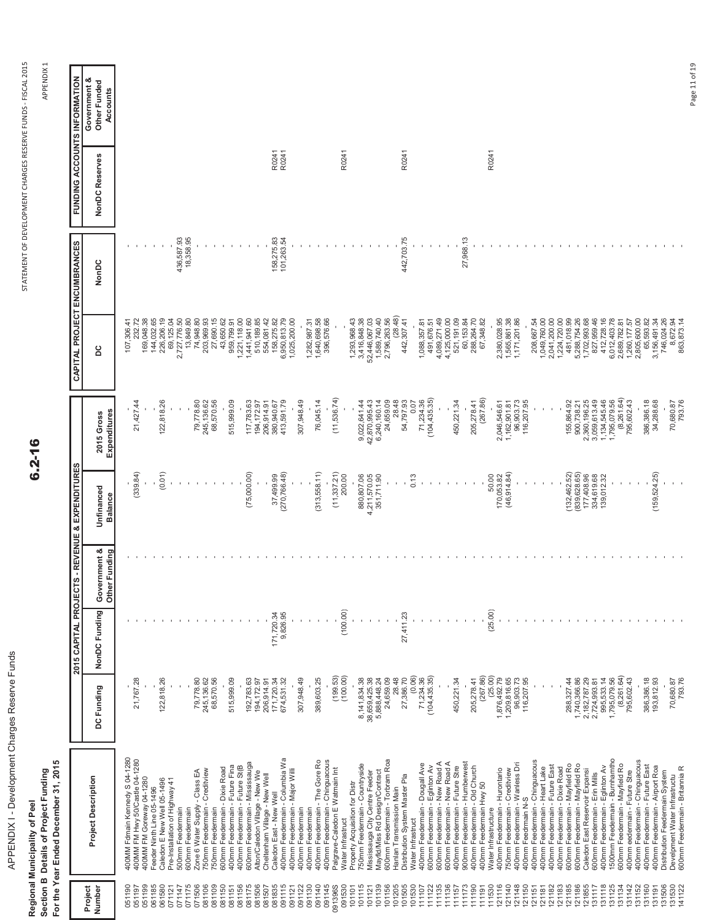| APPENDIX I - Development Charges Reserve Funds | For the Year Ended December 31, 2015<br>Section B Details of Project Funding<br>Regional Municipality of Peel |
|------------------------------------------------|---------------------------------------------------------------------------------------------------------------|

 $6.2 - 16$ 

APPEND APPENDIX 1

| IS - REVENUE & EXPENDITURES<br>2015 CAPITAL PROJECT                                                                                 |  |  |                                            |                                                                   | CAPITAL PROJECT ENCUMBRANCES |                | <b>FUNDING ACCOUNTS INFORMATION</b><br>Government & |
|-------------------------------------------------------------------------------------------------------------------------------------|--|--|--------------------------------------------|-------------------------------------------------------------------|------------------------------|----------------|-----------------------------------------------------|
| Unfinanced<br>Balance<br>Government &<br>Other Funding<br>NonDC Funding<br>DC Funding<br><b>Project Description</b>                 |  |  | Expenditures<br>2015 Gross                 | ပိ                                                                | NonDC                        | NonDC Reserves | Other Funded<br>Accounts                            |
| 400MM Fdmain Kennedy S 04-1280                                                                                                      |  |  |                                            | 107,306.41                                                        |                              |                |                                                     |
| (339.84)<br>21,767.28<br>400MM FM Hwy 50/Castle 04-1280<br>400MM FM Goreway 04-1280                                                 |  |  | 21,427.44                                  | 232.72<br>169,048.38                                              |                              |                |                                                     |
| (0.01)<br>122,818.26<br>Caledon E New Well 05-1496<br>Feeder Ninth Line 05-1496                                                     |  |  | 122,818.26                                 | 144,032.65<br>226,206.19                                          |                              |                |                                                     |
| Pre-Installation of Highway 41<br>500mm Feedermain                                                                                  |  |  |                                            | 69,125.04                                                         |                              |                |                                                     |
| 600mm Feedermain                                                                                                                    |  |  |                                            | 2,727,776.50<br>13,849.80<br>74,948.80<br>203,969.93<br>27,690.15 | 436,587.93<br>18,358.95      |                |                                                     |
| 79,778.80<br>245, 136.62<br>750mm Feedermain - Creditview<br>Zone 6 Water Supply - Class EA                                         |  |  | 79,778.80<br>245, 136.62                   |                                                                   |                              |                |                                                     |
| 68,570.56<br>750mm Feedermain                                                                                                       |  |  | 68,570.56                                  |                                                                   |                              |                |                                                     |
| 515,999.09<br>400mm Feedermain - Future Fina<br>600mm Feedermain - Dixie Road                                                       |  |  | 515,999.09                                 | 43,650.62<br>959,799.91                                           |                              |                |                                                     |
| (75,000.00)<br>192,783.63<br>600mm Feedermain - Mississauga<br>400mm Feedermain - Future St(B                                       |  |  | 117,783.63                                 | 1,221,118.00<br>1,441,941.60                                      |                              |                |                                                     |
| 194, 172.97<br>Alton/Caledon Village - New We                                                                                       |  |  | 194,172.97                                 | 510,189.85                                                        |                              |                |                                                     |
| 37,499.99<br>171,720.34<br>206,914.91<br>171,720.34<br>Cheltenham Village - New Well<br>Caledon East - New Well                     |  |  | 206,914.91<br>380,940.67                   | 554,081.42<br>158,275.82                                          | 158,275.83                   | R0241          |                                                     |
| (270,766.48)<br>9,826.95<br>674,531.32<br>400mm Feedermain - Columbia Wa                                                            |  |  | 413,591.79                                 | 6,950,813.79                                                      | 101,263.54                   | R0241          |                                                     |
| 307,948.49<br>400mm Feedermain - Major Willi<br>400mm Feedermain                                                                    |  |  | 307,948.49                                 | 1,025,200.00                                                      |                              |                |                                                     |
| 400mm Feedermain                                                                                                                    |  |  |                                            | 1,282,987.31                                                      |                              |                |                                                     |
| (313, 558.11)<br>389,603.25<br>400mm Feedermain - The Gore Ro<br>400mm Feedermain - Chinguacous                                     |  |  | 76,045.14                                  | 1,640,698.58<br>396,576.66                                        |                              |                |                                                     |
| $(11, 337.21)$<br>$200.00$<br>(199.53)<br>Palgrave-Caledon E Watmain Int                                                            |  |  | (11,536.74)                                |                                                                   |                              |                |                                                     |
| (100.00)<br>(100.00)<br>Property Acquisition for Distr<br>Water Infrastruct                                                         |  |  |                                            | 1,293,968.43                                                      |                              | R0241          |                                                     |
| 750mm Feedermain - Countryside                                                                                                      |  |  | 9,022,641.44                               |                                                                   |                              |                |                                                     |
| 880,807.06<br>4,211,570.05<br>351,711.90<br>8, 141, 834.38<br>38, 659, 425.38<br>5, 888, 448.24<br>Mississauga City Centre Feeder   |  |  |                                            | 3,416,848.38<br>52,446,067.03<br>1,589,740.40                     |                              |                |                                                     |
| 24,659.09<br>600mm Feedermain - Torbram Roa<br>Mayfid/Miss Rd Design/Contract                                                       |  |  | 42,870,995.43<br>6,240,160.14<br>24,659.09 | 2,796,263.56                                                      |                              |                |                                                     |
| 28.48<br>Hanlan Transmission Main                                                                                                   |  |  | 28.48                                      | (28.48)                                                           |                              |                |                                                     |
| 0.13<br>27,411.23<br>(0.06)<br>27,386.70<br>Distribution System Master Pla<br>Water Infrastruct                                     |  |  | 54,797.93<br>0.07                          | 442,307.41                                                        | 442,703.75                   | R0241          |                                                     |
| 71,234.36<br>400mm Feedermain - Dougall Ave                                                                                         |  |  | 71,234.36                                  | 1,088,357.81                                                      |                              |                |                                                     |
| (104, 435, 35)<br>600mm Feedermain - Eglinton Av                                                                                    |  |  | (104, 435.35)                              | 491,676.51                                                        |                              |                |                                                     |
| 600mm Feedermain - New Road A<br>600mm Feedermain - New Road A                                                                      |  |  |                                            | 4,089,271.49<br>4,125,000.00                                      |                              |                |                                                     |
| 450,221.34<br>400mm Feedermain - Future Stre                                                                                        |  |  | 450,221.34                                 | 521,191.09                                                        |                              |                |                                                     |
| 205,278.41<br>900mm Feedermain - Humberwest<br>400mm Feedermain - Old Church                                                        |  |  | 205,278.41                                 | 60,153.84                                                         | 27,968.13                    |                |                                                     |
| (267.86)<br>400mm Feedermain Hwy 50                                                                                                 |  |  | (267.86)                                   | 288,264.70<br>67,348.82                                           |                              |                |                                                     |
| 50.00<br>170,053.82<br>(25.00)<br>(25.00)<br>1,876,492.79<br>400mm Feedermain - Hurontario<br>Water Infrastructure                  |  |  | 2,046,546.61                               | 2,380,028.95                                                      |                              | R0241          |                                                     |
| (46, 914.84)<br>1,209,816.65<br>750mm Feedermain - Creditview                                                                       |  |  | 1,162,901.81                               | 1,565,861.38                                                      |                              |                |                                                     |
| 96,903.73<br>116,207.95<br>400mm Feedermain - Wanless Dri<br>400mm Feedmain N-S                                                     |  |  | 96,903.73<br>116,207.95                    | 1,171,201.86                                                      |                              |                |                                                     |
| 400mm Feedermain - Chinguacous                                                                                                      |  |  |                                            | 208,667.54                                                        |                              |                |                                                     |
| 400mm Feedermain - Future East<br>400mm Feedermain - Heart Lake                                                                     |  |  |                                            | 1,049,760.00<br>2,041,200.00<br>1,224,720.00                      |                              |                |                                                     |
| 400mm Feedermain - Dixie Road                                                                                                       |  |  |                                            |                                                                   |                              |                |                                                     |
| $(132,462.52)$<br>$(839,628.65)$<br>1,740,366.86<br>288, 327.44<br>600mm Feedermain - Mayfield Ro<br>600mm Feedermain - Mayfield Ro |  |  | 155,864.92<br>900,738.21<br>2,360,196.25   | 5,288,754.26<br>481,018.99                                        |                              |                |                                                     |
| 177,408.96<br>2,182,787.29<br>Caledon East Reservoir Expansi                                                                        |  |  |                                            |                                                                   |                              |                |                                                     |
| 334,619.68<br>139,012.32<br>2,724,993.81<br>600mm Feedermain - Erin Mills                                                           |  |  | 3,059,613.49                               | 1,702,993.68<br>827,959.46                                        |                              |                |                                                     |
| 995,533.14<br>400mm Feedermain - Eglinton Av                                                                                        |  |  | 1,134,545.46                               | 412,728.16                                                        |                              |                |                                                     |
| (8, 261.64)<br>1,795,079.56<br>1500mm Feedermain - Burnhamtho<br>600mm Feedermain - Mayfield Ro                                     |  |  | (8,261.64)<br>1,795,079.56                 | 6,012,403.78<br>2,689,782.81                                      |                              |                |                                                     |
| 795,602.43<br>400mm eedermain - Future Stre                                                                                         |  |  | 795,602.43                                 | 1,260,177.57                                                      |                              |                |                                                     |
| 400mm Feedermain - Chinguacous                                                                                                      |  |  |                                            | 2,805,600.00                                                      |                              |                |                                                     |
| (159, 524.25)<br>386,386.18<br>193,812.93<br>400mm Feedermain - Future East<br>400mm Feedermain - Airport Roa                       |  |  | 34,288.68<br>386,386.18                    | 3,156,491.34<br>65,593.82                                         |                              |                |                                                     |
| Distribution Feedermain System                                                                                                      |  |  |                                            | 746,024.26                                                        |                              |                |                                                     |
| 70,680.87<br>793.76<br>600mm Feedermain - Britannia R<br>Develpment Water Infrastructu                                              |  |  | 70,680.87<br>793.76                        | 8,672.94<br>863,873.14                                            |                              |                |                                                     |
|                                                                                                                                     |  |  |                                            |                                                                   |                              |                | Page 11 of 19                                       |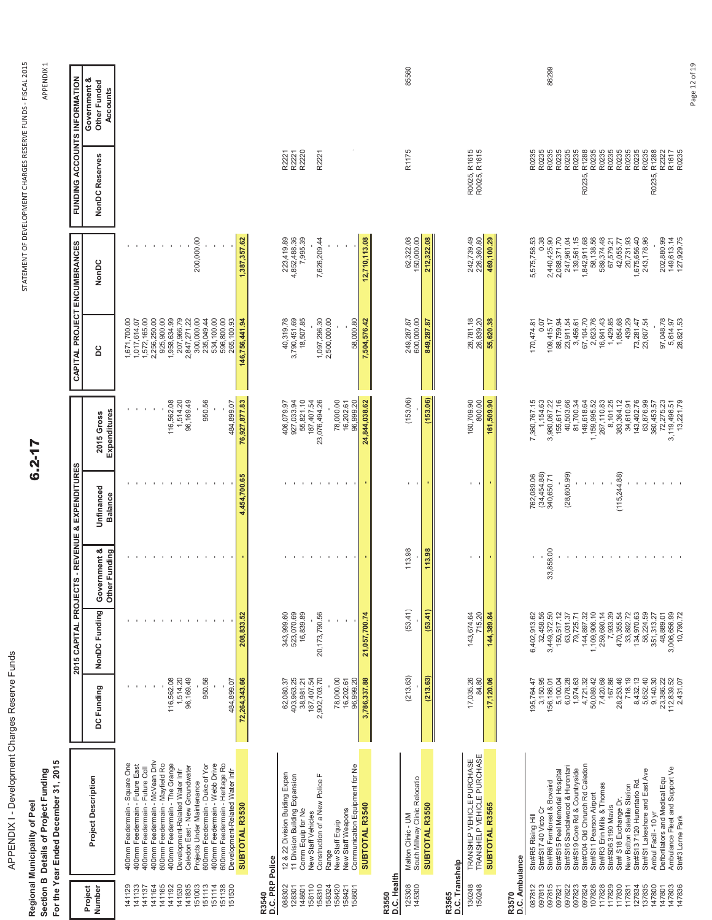| APPENDIX I - Development Charges Reserve Funds | Section B Details of Project Funding<br>Regional Municipality of Peel |
|------------------------------------------------|-----------------------------------------------------------------------|
|                                                |                                                                       |

|                                                                                                                                                                     | For the Year Ended December 31, 2015<br>Section B Details of Project Funding<br>Regional Municipality of Peel                                                                                                                                                                                                                                                                                                                                                     |                                                                                                                                                                           |                                                                                                                                                                                                                     |                                                              |                                                                                                              | $6.2 - 17$                                                                                                                                                                                                   |                                                                                                                                                                                                                  |                                                                                                                                                                                                    | STATEMENT OF DEVELOPMENT CHARGES RESERVE FUNDS - FISCAL 2015                                                                                  | APPENDIX 1                               |
|---------------------------------------------------------------------------------------------------------------------------------------------------------------------|-------------------------------------------------------------------------------------------------------------------------------------------------------------------------------------------------------------------------------------------------------------------------------------------------------------------------------------------------------------------------------------------------------------------------------------------------------------------|---------------------------------------------------------------------------------------------------------------------------------------------------------------------------|---------------------------------------------------------------------------------------------------------------------------------------------------------------------------------------------------------------------|--------------------------------------------------------------|--------------------------------------------------------------------------------------------------------------|--------------------------------------------------------------------------------------------------------------------------------------------------------------------------------------------------------------|------------------------------------------------------------------------------------------------------------------------------------------------------------------------------------------------------------------|----------------------------------------------------------------------------------------------------------------------------------------------------------------------------------------------------|-----------------------------------------------------------------------------------------------------------------------------------------------|------------------------------------------|
|                                                                                                                                                                     |                                                                                                                                                                                                                                                                                                                                                                                                                                                                   |                                                                                                                                                                           | 2015 CAPITAL PROJECT                                                                                                                                                                                                |                                                              | S - REVENUE & EXPENDITURES                                                                                   |                                                                                                                                                                                                              |                                                                                                                                                                                                                  | CAPITAL PROJECT ENCUMBRANCES                                                                                                                                                                       | <b>FUNDING ACCOUNTS INFORMATION</b>                                                                                                           |                                          |
| Project<br>Number                                                                                                                                                   | <b>Project Description</b>                                                                                                                                                                                                                                                                                                                                                                                                                                        | DC Funding                                                                                                                                                                | NonDC Funding                                                                                                                                                                                                       | mment &<br>Funding<br>Gover<br>Other                         | Unfinanced<br><b>Balance</b>                                                                                 | Expenditures<br>2015 Gross                                                                                                                                                                                   | <b>DC</b>                                                                                                                                                                                                        | NonDC                                                                                                                                                                                              | NonDC Reserves                                                                                                                                | Government &<br>Other Funded<br>Accounts |
| 141133<br>141137<br>141164<br>141165<br>141192<br>141530<br>141835<br>151003<br>151113<br>151114<br>51138<br>151530<br>141129                                       | 400mm Feedermain - McVean Driv<br>400mm Feedermain - The Grange<br>400mm Feedermain - Webb Drive<br>600mm Feedermain - Heritage Ro<br>400mm Feedermain - Square One<br>600mm Feedermain - Mayfield Ro<br>600mm Feedermain - Duke of Yor<br>400mm Feedermain - Future East<br>Caledon East - New Groundwater<br>400mm Feedermain - Future Coll<br>Development-Related Water Infr<br>Development-Related Water Infr<br>Projects Under Maintenance<br>SUBTOTAL R3530 | 116,562.08<br>1,514.20<br>96,169.49<br>950.56<br>72,264,343.66<br>484,899.07                                                                                              | 208,833.52<br>the company of the com-<br>$\mathbf{L}$<br>$\mathbf{I}$                                                                                                                                               | <b>CONTRACTOR</b><br>$\mathcal{A}$                           | 4,454,700.65<br>$\sim$<br>$\mathcal{A}$<br>$\mathcal{A}$<br>11<br>$\sim$                                     | 116,562.08<br>1,514.20<br>96,169.49<br>950.56<br>484,899.07<br>76,927,877.83                                                                                                                                 | 2,256,250.00<br>925,900.00<br>1,958,634.99<br>207,966.79<br>1,671,700.00<br>1,572,165.00<br>2,847,271.22<br>300,000.00<br>235,049.44<br>534,100.00<br>596,800.00<br>265,100.93<br>1,017,614.07<br>146,756,441.94 | 200,000.00<br>1,387,357.62<br>$\,$ $\,$                                                                                                                                                            |                                                                                                                                               |                                          |
| R3540<br>D.C. PRP Police<br>088302<br>158110<br>158310<br>158324<br>158420<br>128301<br>148601<br>158421<br>158601                                                  | New Staff Weapons<br>Communication Equipment for Ne<br>12 & 22 Division Buiding Expan<br>Construction of a New Police F<br>11 Division Building Expansion<br>SUBTOTAL R3540<br>Comm Equip for Ne<br>New Staff Vehicles<br>New Staff Equip<br>Range                                                                                                                                                                                                                | 62,080.37<br>403,963.25<br>38,981.21<br>187,407.54<br>2,902,703.70<br>78,000.00<br>3,786,337.88<br>16,202.61<br>96,999.20                                                 | 343,999.60<br>523,070.69<br>16,839.89<br>20,173,790.56<br>21,057,700.74                                                                                                                                             | <b>All All All Andrew Profit Administration</b>              | $\sim$<br>$\mathbf{1}$<br>$\sim$<br>$\sim$<br>$\mathbf{I}$                                                   | 927,033.94<br>55,821.10<br>187,407.54<br>23,076,494.26<br>78,000.00<br>16,202.61<br>96,999.20<br>24,844,038.62<br>406,079.97                                                                                 | 3,790,451.69<br>18,507.85<br>1,097,296.30<br>2,500,000.00<br>40,319.78<br>58,000.80<br>7,504,576.42                                                                                                              | 7,995.39<br>7,626,209.44<br>223,419.89<br>4,852,488.36<br>12,710,113.08                                                                                                                            | R2221<br>R2221<br>R2220<br>R2221                                                                                                              |                                          |
| R3565<br>D.C. Transhelp<br>R3550<br>D.C. Health<br>125308<br>145300<br>130248<br>150248                                                                             | TRANSHLP VEHICLE PURCHASE<br>TRANSHELP VEHICLE PURCHASE<br>Malton Clinic - UM<br>South Millway Clinic Relocatio<br>SUBTOTAL R3565<br>SUBTOTAL R3550                                                                                                                                                                                                                                                                                                               | (213.63)<br>(213.63)<br>17,035.26<br>84.80<br>17,120.06                                                                                                                   | (53.41)<br>(53.41)<br>715.20<br>143,674.64<br>144,389.84                                                                                                                                                            | 113.98<br>113.98<br>$\mathbf{I}$                             | $\mathbf{1}$<br>×.                                                                                           | (153.06)<br>(153.06)<br>800.00<br>161,509.90<br>160,709.90                                                                                                                                                   | 28,781.18<br>600,000.00<br>26,839.20<br>55,620.38<br>249,287.87<br>849,287.87                                                                                                                                    | 62,322.08<br>150,000.00<br>242,739.49<br>226,360.80<br>212,322.08                                                                                                                                  | R0025, R1615<br>R0025, R1615<br>R1175                                                                                                         | 85560                                    |
| R3570<br>D.C. Ambulance<br>087812<br>097813<br>097815<br>097821<br>097822<br>097823<br>097824<br>107826<br>117828<br>117829<br>117830<br>127834<br>137835<br>117831 | Stn#C04 Old Chrurch Rd Caledon<br>Stn#S17 40 Victo Cr<br>Stn#R6 Femforest & Bovaird<br>Stn#S15 Peel Memorial Hospital<br>Stn#S16 Sandalwood & Hurontari<br>Stn#S1 Lakeshore and East Ave<br>Stn#S19 Gore Rd & Countryside<br>Stn#S13 7120 Hurontario Rd<br>Stn#S11 Pearson Airport<br>Stn#R3 Erin Mills & Thomas<br>Stn#S06 3190 Mavis<br>Stn# S18 Exchange Dr.<br>New Bolton Satellite Station<br>Stn#R5 Rising Hill                                             | 167.86<br>3,150.95<br>156, 186.01<br>5, 100.04<br>6, 078.28<br>1,974.63<br>4,721.32<br>7,420.69<br>28,253.46<br>718.19<br>5,652.40<br>50,089.42<br>8,432.13<br>195,764.47 | 32,458.56<br>3,449,372.50<br>33,892.72<br>134,970.63<br>58,224.59<br>150,517.12<br>63,031.37<br>$\ddot{\mathrm{S}}$<br>1,109,906.10<br>259,690.14<br>7,933.39<br>470,355.54<br>6,402,913.62<br>79,725.71<br>144,897 | 33,858.00<br>$\mathbf{r}$<br>the contract of the contract of | $(34,454.88)$<br>$340,650.71$<br>(115, 244.88)<br>(28, 605.99)<br>762,089.06<br>$\mathbf{I}$<br>$\mathbf{I}$ | 7,360,767.15<br>1,154.63<br>3,980,067.22<br>155,617.16<br>40,503.66<br>81,700.34<br>149,618.64<br>1,159,995.52<br>267,110.83<br>8,101.25<br>383,364.12<br>143,402.76<br>63,876.99<br>360,453.57<br>34,610.91 | 109,415.17<br>88,759.94<br>23,911.54<br>3,456.61<br>67,104.70<br>2,623.76<br>16,841.43<br>1,429.85<br>1,854.68<br>439.29<br>23,607.54<br>170,474.81<br>0.07<br>73,281.47                                         | 0.38<br>2,440,425.90<br>2,088,371.70<br>247,961.04<br>139,561.15<br>1,842,911.68<br>58, 138.56<br>589, 374.48<br>1,675,656.40<br>243,178.96<br>5,575,758.53<br>20,731.93<br>67,579.21<br>42,055.77 | R0235<br>R0235<br>R0235<br>R0235<br>R0235<br>R0235<br>R0235<br>R0235<br>R1288<br>R0235<br>R0235<br>R0235<br>R0235<br>R0235<br>R1288<br>R0235, | 86299                                    |
| 147800<br>147801<br>147803<br>147836                                                                                                                                | Defibrillators and Medical Equ<br>Ambulance Fleet and Support Ve<br>Stn#3 Lome Park<br>Ambul Facil - 10 yr                                                                                                                                                                                                                                                                                                                                                        | 9,140.30<br>23,386.22<br>112,839.52<br>2,431.07                                                                                                                           | 3,006,656.99<br>10,790.72<br>351,313.27<br>48,889.01                                                                                                                                                                |                                                              | $\mathbf{1}$ , $\mathbf{1}$<br>$\mathcal{A}$<br>$\mathcal{A}$                                                | 72,275.23<br>3,119,496.51<br>13,221.79                                                                                                                                                                       | 97,048.78<br>5,614.97<br>28,821.53                                                                                                                                                                               | 202,880.99<br>149,613.14<br>127,929.75                                                                                                                                                             | R2322<br>R1617<br>R0235<br>R0235,                                                                                                             | Page 12 of 19                            |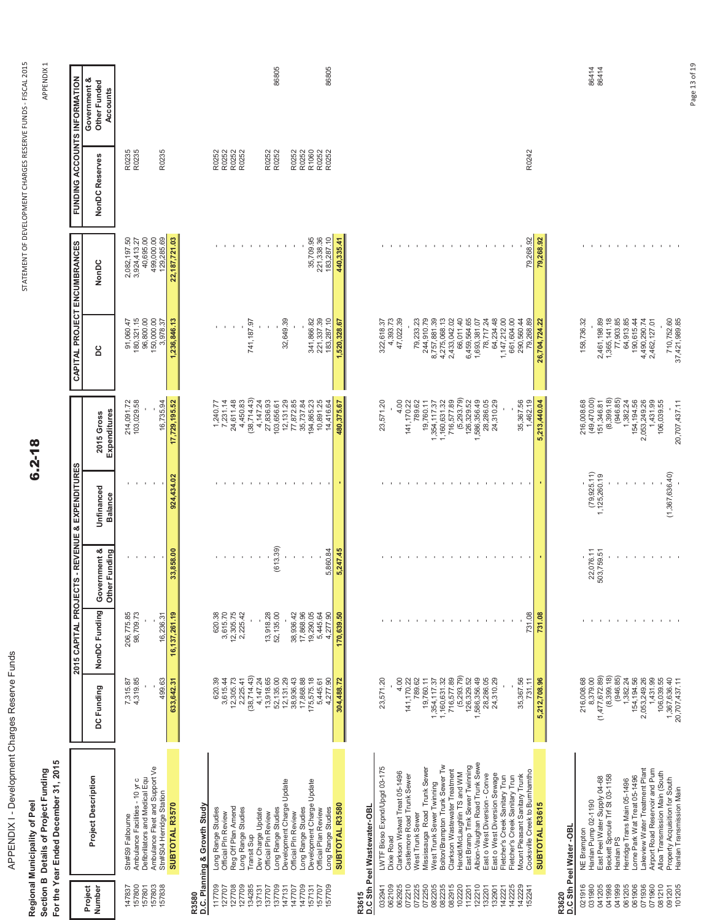| APPENDIX I - Development Charges Reserve Funds | Regional Municipality of Peel | Section B Details of Project Funding | For the Year Ended December 31, 2015 |
|------------------------------------------------|-------------------------------|--------------------------------------|--------------------------------------|
|                                                |                               |                                      |                                      |

 $6.2 - 18$ 

APPEND APPENDIX 1

| 86805<br>R0235<br>R0252<br>R0252<br>R0252<br>R0252<br>R0252<br>R0252<br>499,000.00<br>129,285.69<br>22,187,721.03<br>11<br>$\sim$<br>$\mathcal{A}$ |
|----------------------------------------------------------------------------------------------------------------------------------------------------|
| 1,236,846.13<br>741,187.97                                                                                                                         |
| (38,714.43)<br>27,836.93<br>103,656.61<br>7,231.14<br>24,611.48<br>4,450.83<br>4,147.24<br>1,240.77                                                |
|                                                                                                                                                    |
| (613.39)<br>$\mathbf{I}$<br>$\sim$<br>$\sim$<br>$\sim$                                                                                             |
| 3,615.70<br>12,305.75<br>620.38<br>2,225.42<br>13,918.28<br>52, 135.00                                                                             |
| $(38, 714.43)$<br>4, 147.24<br>13, 918.65<br>620.39<br>3,615.44<br>$12,305.73$<br>$2,225.41$<br>52,135.00                                          |
|                                                                                                                                                    |
| Long Range Studies<br>Dev Charge Update<br>Official PIn Review<br>Transit Sup                                                                      |
| Development Charge Update<br>137709<br>147131<br>147707                                                                                            |

Page 13 of 19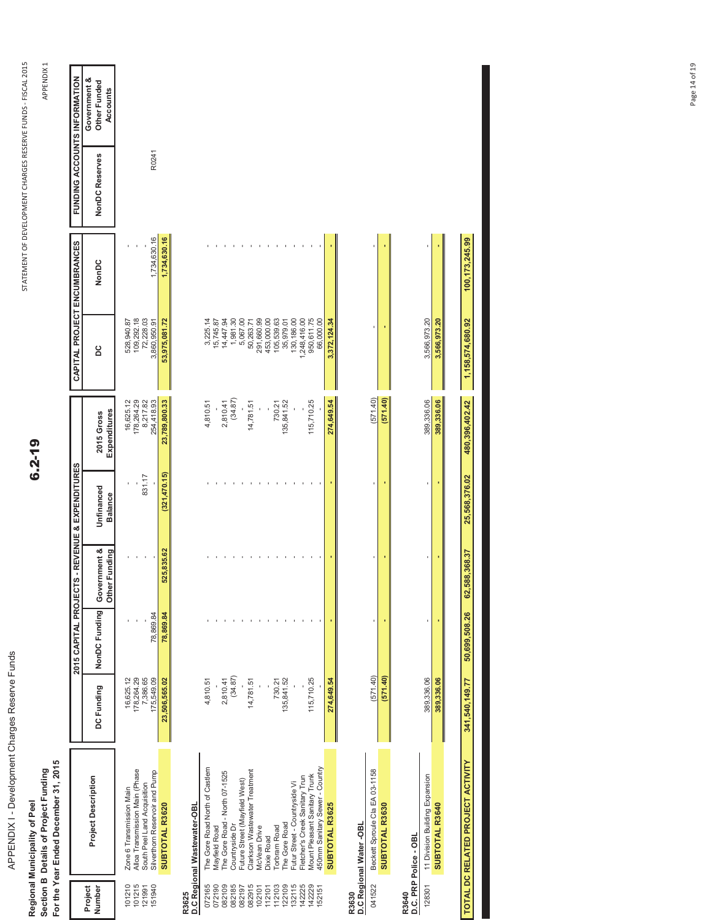| ٦<br>١<br>נ<br>i<br>ś<br>֧֚֚֚֚֚֚֚֚֚֚֚֚֚֚֚֝<br>֧֧֚֚֚֚֚֚֚֝ <b>֓</b><br>$\ddot{\phantom{a}}$<br>١<br>l<br>١ |
|----------------------------------------------------------------------------------------------------------|
|                                                                                                          |
| l<br>l<br>ı                                                                                              |
| ׇ֚֓֡                                                                                                     |

Regional Municipality of Peel<br>Section B Details of Project Funding<br>For the Year Ended December 31, 2015 **For the Year Ended December 31, 2015 Section B Details of Project Funding Regional Municipality of Peel**

 $6.2 - 19$ 

APPEND APPENDIX 1

|                                      |                                                                                                                             |                                                   |                            |               | 2015 CAPITAL PROJECTS - REVENUE & EXPENDITURES |                                                   | CAPITAL PROJECT ENCUMBRANCES                          |              | FUNDING ACCOUNTS INFORMATION |                                          |
|--------------------------------------|-----------------------------------------------------------------------------------------------------------------------------|---------------------------------------------------|----------------------------|---------------|------------------------------------------------|---------------------------------------------------|-------------------------------------------------------|--------------|------------------------------|------------------------------------------|
| Project<br>Number                    | <b>Project Description</b>                                                                                                  | DC Funding                                        | NonDC Funding Government & | Other Funding | Unfinanced<br><b>Balance</b>                   | Expenditures<br>2015 Gross                        | ă                                                     | NonDC        | NonDC Reserves               | Government &<br>Other Funded<br>Accounts |
| 101210<br>101215<br>151940<br>121991 | Alloa Transmission Main (Phase<br>Silverthorn Reservoir and Pump<br>South Peel Land Acquisition<br>Zone 6 Transmission Main | 178,264.29<br>16,625.12<br>7,386.65<br>175,549.09 | 78,869.84                  |               | 831.17                                         | 178,264.29<br>8,217.82<br>254,418.93<br>16,625.12 | 109,292.18<br>72,228.03<br>528,940.87<br>3,860,950.91 | 1,734,630.16 | R0241                        |                                          |
|                                      | SUBTOTAL R3620                                                                                                              | 23,506,565.02                                     | 78,869.84                  | 525,835.62    | (321, 470.15)                                  | 23,789,800.33                                     | 53,975,081.72                                         | 1,734,630.16 |                              |                                          |
| R3625                                | D.C Regional Wastewater-OBL                                                                                                 |                                                   |                            |               |                                                |                                                   |                                                       |              |                              |                                          |
| 072165                               | The Gore Road North of Castlem                                                                                              | 4,810.51                                          |                            |               |                                                | 4,810.51                                          | 3,225.14                                              |              |                              |                                          |
| 072190                               | Mayfield Road                                                                                                               |                                                   |                            |               |                                                |                                                   | 5,745.87                                              |              |                              |                                          |
| 082109                               | The Gore Road - North 07-1525                                                                                               | 2,810.41                                          |                            |               |                                                | 2,810.41                                          | 14,447.94                                             |              |                              |                                          |
| 082185                               | Countryside Dr                                                                                                              | (34.87)                                           |                            |               |                                                | (34.87)                                           | 1,981.30                                              |              |                              |                                          |
| 082197                               | Future Street (Mayfield West)                                                                                               |                                                   |                            |               |                                                |                                                   | 5,067.00                                              |              |                              |                                          |
| 082915                               | Clarkson Wastewater Treatment                                                                                               | 14,781.51                                         |                            |               |                                                | 14,781.51                                         | 50,263.71                                             |              |                              |                                          |
| 102101                               | <b>McVean Drive</b>                                                                                                         |                                                   |                            |               |                                                |                                                   | 291,660.99                                            |              |                              |                                          |
| 112101                               | <b>Dixie Road</b>                                                                                                           |                                                   |                            |               |                                                |                                                   | 453,000.00                                            |              |                              |                                          |
| 112103                               | <b>Torbram Road</b>                                                                                                         | 730.21                                            |                            |               |                                                | 730.21                                            | 105,539.63                                            |              |                              |                                          |
| 122109                               | The Gore Road                                                                                                               | 135,841.52                                        |                            |               |                                                | 135,841.52                                        | 35,979.01                                             |              |                              |                                          |
| 132115                               | Futur Street - Countryside Vi                                                                                               |                                                   |                            |               |                                                |                                                   | 130,186.00                                            |              |                              |                                          |
| 142225                               | Fletcher's Creek Sanitary Trun                                                                                              |                                                   |                            |               |                                                |                                                   | 248,416.00                                            |              |                              |                                          |
| 142229                               | <b>Mount Pleasant Sanitary Trunk</b>                                                                                        | 115,710.25                                        |                            |               |                                                | 115,710.25                                        | 950,611.75                                            |              |                              |                                          |
| 152151                               | 450mm Sanitary Sewer - Country                                                                                              |                                                   |                            |               |                                                |                                                   | 66,000.00                                             |              |                              |                                          |
|                                      | SUBTOTAL R3625                                                                                                              | 274,649.54                                        |                            |               |                                                | 274,649.54                                        | 3,372,124.34                                          |              |                              |                                          |
|                                      |                                                                                                                             |                                                   |                            |               |                                                |                                                   |                                                       |              |                              |                                          |

**R3630**

041522 Beckett Sproule Cla EA 03-1158 **D.C Regional Water -OBL**

| 041522 | Beckett Sproule Cla EA 03-1158       | (571.40    |  | (571.40)   |              |  |
|--------|--------------------------------------|------------|--|------------|--------------|--|
|        | <b>SUBTOTAL R3630</b>                | 571.40     |  | (571.40)   |              |  |
| 13640  |                                      |            |  |            |              |  |
|        | D.C. PRP Police - OBL                |            |  |            |              |  |
|        | 28301 11 Division Building Expansion | 389,336.06 |  | 389,336.0  | 3,566,973.20 |  |
|        | <b>SUBTOTAL R3640</b>                | 389,336.0  |  | 389,336.06 | 6.973.2      |  |

| <b>DO 376 547 UU</b>                                     |  |
|----------------------------------------------------------|--|
| C FL CLT                                                 |  |
| <b>180.396.402.42</b>                                    |  |
| 1,540.149.77 50.699.508.26 62.588.368.37 25.568.376.02 4 |  |
|                                                          |  |
|                                                          |  |
|                                                          |  |
| <b>TAL DC RELATED PROJECT ACTIVITY</b>                   |  |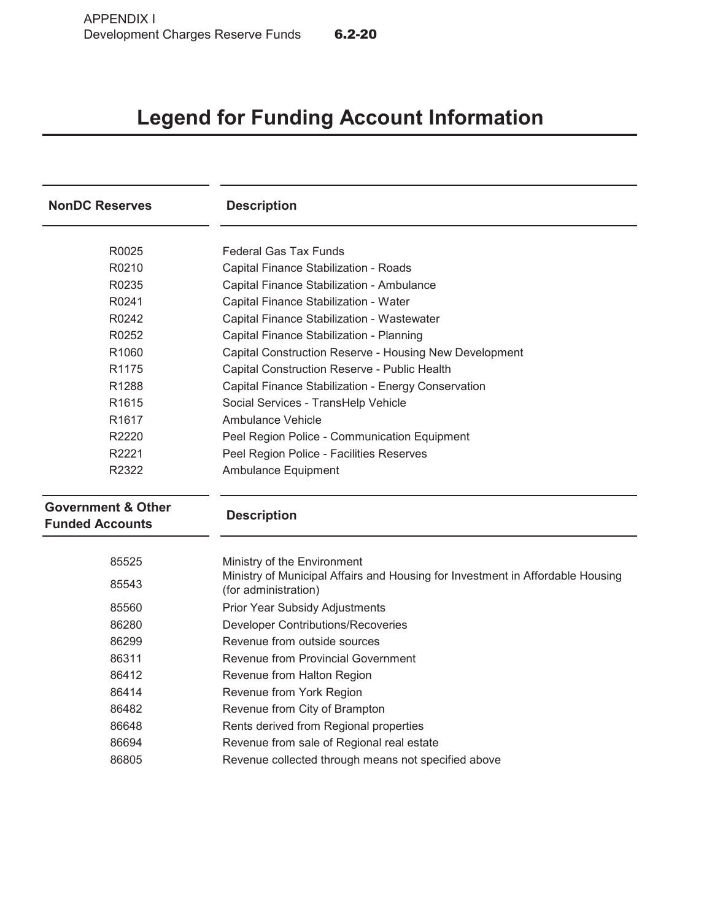# **Legend for Funding Account Information**

| <b>NonDC Reserves</b>                                   | <b>Description</b>                                                                                     |  |  |  |
|---------------------------------------------------------|--------------------------------------------------------------------------------------------------------|--|--|--|
| R0025                                                   | <b>Federal Gas Tax Funds</b>                                                                           |  |  |  |
| R0210                                                   | Capital Finance Stabilization - Roads                                                                  |  |  |  |
| R0235                                                   | Capital Finance Stabilization - Ambulance                                                              |  |  |  |
| R0241                                                   | Capital Finance Stabilization - Water                                                                  |  |  |  |
| R0242                                                   | Capital Finance Stabilization - Wastewater                                                             |  |  |  |
| R0252                                                   | Capital Finance Stabilization - Planning                                                               |  |  |  |
| R1060                                                   | Capital Construction Reserve - Housing New Development                                                 |  |  |  |
| R1175                                                   | Capital Construction Reserve - Public Health                                                           |  |  |  |
| R <sub>1288</sub>                                       | Capital Finance Stabilization - Energy Conservation                                                    |  |  |  |
| R <sub>1615</sub>                                       | Social Services - TransHelp Vehicle                                                                    |  |  |  |
| R <sub>1617</sub>                                       | Ambulance Vehicle                                                                                      |  |  |  |
| R2220                                                   | Peel Region Police - Communication Equipment                                                           |  |  |  |
| R2221                                                   | Peel Region Police - Facilities Reserves                                                               |  |  |  |
| R2322                                                   | Ambulance Equipment                                                                                    |  |  |  |
| <b>Government &amp; Other</b><br><b>Funded Accounts</b> | <b>Description</b>                                                                                     |  |  |  |
| 85525                                                   | Ministry of the Environment                                                                            |  |  |  |
| 85543                                                   | Ministry of Municipal Affairs and Housing for Investment in Affordable Housing<br>(for administration) |  |  |  |
| 85560                                                   | Prior Year Subsidy Adjustments                                                                         |  |  |  |
| 86280                                                   | <b>Developer Contributions/Recoveries</b>                                                              |  |  |  |
| 86299                                                   | Revenue from outside sources                                                                           |  |  |  |
| 86311                                                   | Revenue from Provincial Government                                                                     |  |  |  |
| 86412                                                   | Revenue from Halton Region                                                                             |  |  |  |
| 86414                                                   | Revenue from York Region                                                                               |  |  |  |
| 86482                                                   | Revenue from City of Brampton                                                                          |  |  |  |
| 86648                                                   | Rents derived from Regional properties                                                                 |  |  |  |
| 86694                                                   | Revenue from sale of Regional real estate                                                              |  |  |  |
| 86805                                                   | Revenue collected through means not specified above                                                    |  |  |  |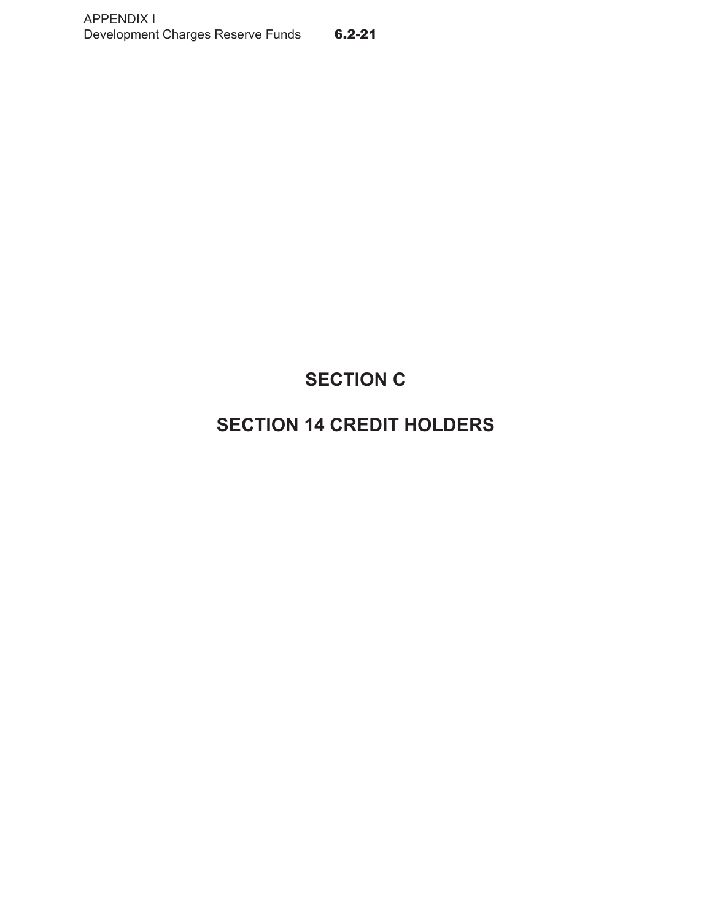# **SECTION C**

# **SECTION 14 CREDIT HOLDERS**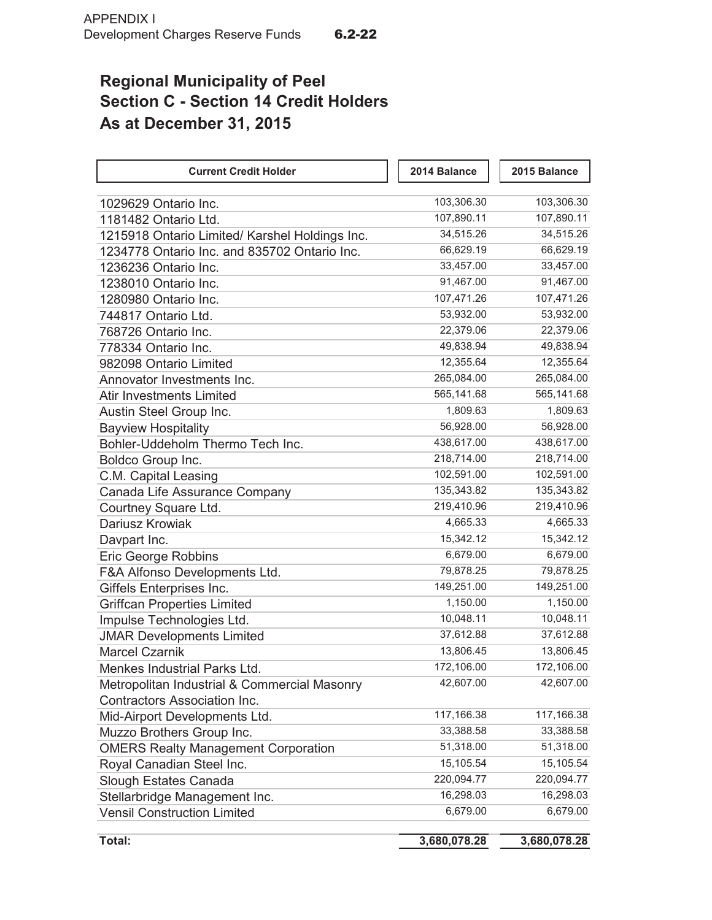# **Regional Municipality of Peel Section C - Section 14 Credit Holders As at December 31, 2015**

| <b>Current Credit Holder</b>                   | 2014 Balance | 2015 Balance |
|------------------------------------------------|--------------|--------------|
|                                                |              |              |
| 1029629 Ontario Inc.                           | 103,306.30   | 103,306.30   |
| 1181482 Ontario Ltd.                           | 107,890.11   | 107,890.11   |
| 1215918 Ontario Limited/ Karshel Holdings Inc. | 34,515.26    | 34,515.26    |
| 1234778 Ontario Inc. and 835702 Ontario Inc.   | 66,629.19    | 66,629.19    |
| 1236236 Ontario Inc.                           | 33,457.00    | 33,457.00    |
| 1238010 Ontario Inc.                           | 91,467.00    | 91,467.00    |
| 1280980 Ontario Inc.                           | 107,471.26   | 107,471.26   |
| 744817 Ontario Ltd.                            | 53,932.00    | 53,932.00    |
| 768726 Ontario Inc.                            | 22,379.06    | 22,379.06    |
| 778334 Ontario Inc.                            | 49,838.94    | 49,838.94    |
| 982098 Ontario Limited                         | 12,355.64    | 12,355.64    |
| Annovator Investments Inc.                     | 265,084.00   | 265,084.00   |
| <b>Atir Investments Limited</b>                | 565,141.68   | 565,141.68   |
| Austin Steel Group Inc.                        | 1,809.63     | 1,809.63     |
| <b>Bayview Hospitality</b>                     | 56,928.00    | 56,928.00    |
| Bohler-Uddeholm Thermo Tech Inc.               | 438,617.00   | 438,617.00   |
| Boldco Group Inc.                              | 218,714.00   | 218,714.00   |
| C.M. Capital Leasing                           | 102,591.00   | 102,591.00   |
| Canada Life Assurance Company                  | 135,343.82   | 135,343.82   |
| Courtney Square Ltd.                           | 219,410.96   | 219,410.96   |
| Dariusz Krowiak                                | 4,665.33     | 4,665.33     |
| Davpart Inc.                                   | 15,342.12    | 15,342.12    |
| <b>Eric George Robbins</b>                     | 6,679.00     | 6,679.00     |
| F&A Alfonso Developments Ltd.                  | 79,878.25    | 79,878.25    |
| Giffels Enterprises Inc.                       | 149,251.00   | 149,251.00   |
| <b>Griffcan Properties Limited</b>             | 1,150.00     | 1,150.00     |
| Impulse Technologies Ltd.                      | 10,048.11    | 10,048.11    |
| <b>JMAR Developments Limited</b>               | 37,612.88    | 37,612.88    |
| <b>Marcel Czarnik</b>                          | 13,806.45    | 13,806.45    |
| Menkes Industrial Parks Ltd.                   | 172,106.00   | 172,106.00   |
| Metropolitan Industrial & Commercial Masonry   | 42,607.00    | 42,607.00    |
| <b>Contractors Association Inc.</b>            |              |              |
| Mid-Airport Developments Ltd.                  | 117,166.38   | 117,166.38   |
| Muzzo Brothers Group Inc.                      | 33,388.58    | 33,388.58    |
| <b>OMERS Realty Management Corporation</b>     | 51,318.00    | 51,318.00    |
| Royal Canadian Steel Inc.                      | 15,105.54    | 15,105.54    |
| Slough Estates Canada                          | 220,094.77   | 220,094.77   |
| Stellarbridge Management Inc.                  | 16,298.03    | 16,298.03    |
| <b>Vensil Construction Limited</b>             | 6,679.00     | 6,679.00     |
|                                                |              |              |
| Total:                                         | 3,680,078.28 | 3,680,078.28 |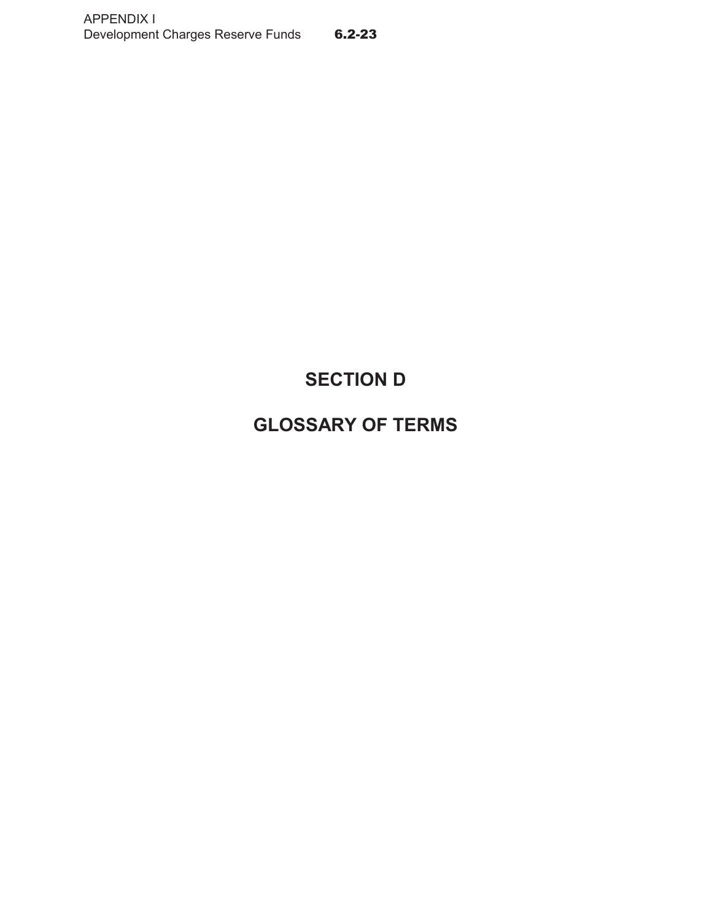# **SECTION D**

# **GLOSSARY OF TERMS**